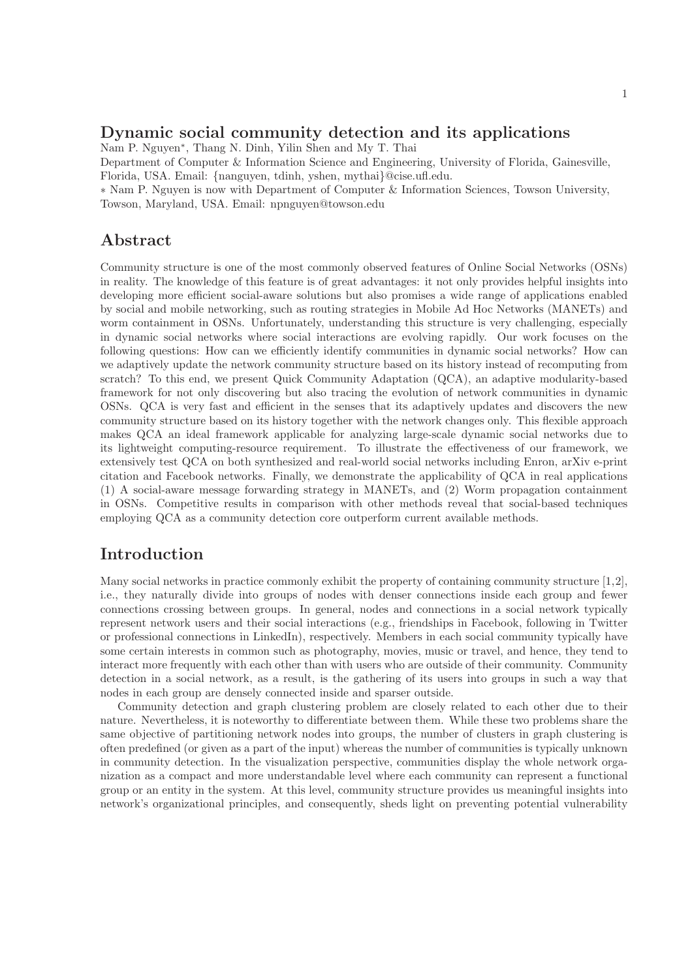### Dynamic social community detection and its applications

Nam P. Nguyen<sup>∗</sup> , Thang N. Dinh, Yilin Shen and My T. Thai

Department of Computer & Information Science and Engineering, University of Florida, Gainesville, Florida, USA. Email: {nanguyen, tdinh, yshen, mythai}@cise.ufl.edu.

∗ Nam P. Nguyen is now with Department of Computer & Information Sciences, Towson University, Towson, Maryland, USA. Email: npnguyen@towson.edu

## Abstract

Community structure is one of the most commonly observed features of Online Social Networks (OSNs) in reality. The knowledge of this feature is of great advantages: it not only provides helpful insights into developing more efficient social-aware solutions but also promises a wide range of applications enabled by social and mobile networking, such as routing strategies in Mobile Ad Hoc Networks (MANETs) and worm containment in OSNs. Unfortunately, understanding this structure is very challenging, especially in dynamic social networks where social interactions are evolving rapidly. Our work focuses on the following questions: How can we efficiently identify communities in dynamic social networks? How can we adaptively update the network community structure based on its history instead of recomputing from scratch? To this end, we present Quick Community Adaptation (QCA), an adaptive modularity-based framework for not only discovering but also tracing the evolution of network communities in dynamic OSNs. QCA is very fast and efficient in the senses that its adaptively updates and discovers the new community structure based on its history together with the network changes only. This flexible approach makes QCA an ideal framework applicable for analyzing large-scale dynamic social networks due to its lightweight computing-resource requirement. To illustrate the effectiveness of our framework, we extensively test QCA on both synthesized and real-world social networks including Enron, arXiv e-print citation and Facebook networks. Finally, we demonstrate the applicability of QCA in real applications (1) A social-aware message forwarding strategy in MANETs, and (2) Worm propagation containment in OSNs. Competitive results in comparison with other methods reveal that social-based techniques employing QCA as a community detection core outperform current available methods.

## Introduction

Many social networks in practice commonly exhibit the property of containing community structure [1,2], i.e., they naturally divide into groups of nodes with denser connections inside each group and fewer connections crossing between groups. In general, nodes and connections in a social network typically represent network users and their social interactions (e.g., friendships in Facebook, following in Twitter or professional connections in LinkedIn), respectively. Members in each social community typically have some certain interests in common such as photography, movies, music or travel, and hence, they tend to interact more frequently with each other than with users who are outside of their community. Community detection in a social network, as a result, is the gathering of its users into groups in such a way that nodes in each group are densely connected inside and sparser outside.

Community detection and graph clustering problem are closely related to each other due to their nature. Nevertheless, it is noteworthy to differentiate between them. While these two problems share the same objective of partitioning network nodes into groups, the number of clusters in graph clustering is often predefined (or given as a part of the input) whereas the number of communities is typically unknown in community detection. In the visualization perspective, communities display the whole network organization as a compact and more understandable level where each community can represent a functional group or an entity in the system. At this level, community structure provides us meaningful insights into network's organizational principles, and consequently, sheds light on preventing potential vulnerability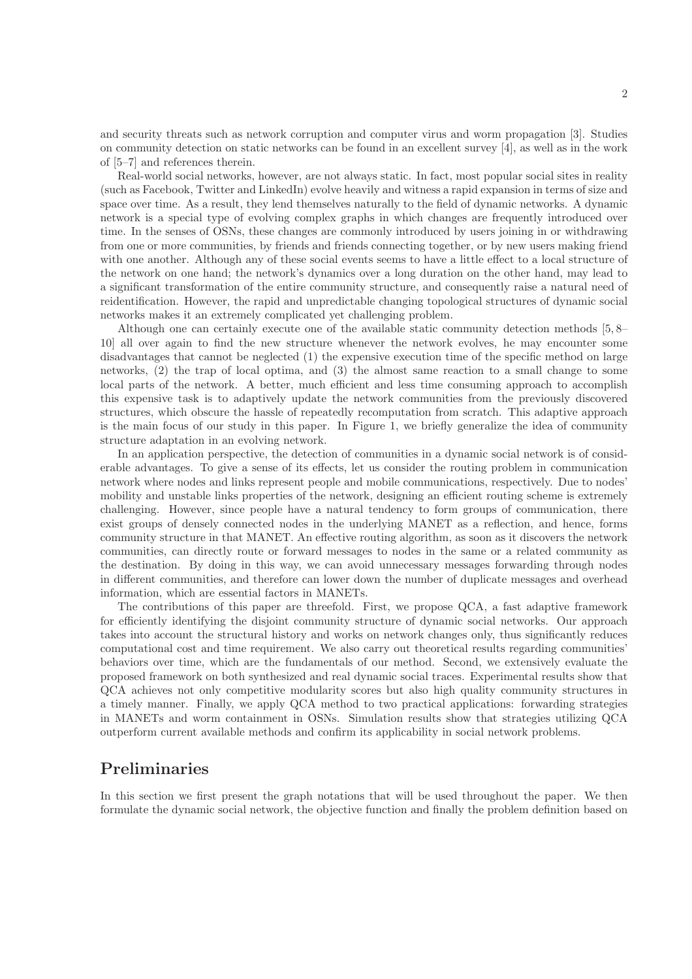and security threats such as network corruption and computer virus and worm propagation [3]. Studies on community detection on static networks can be found in an excellent survey [4], as well as in the work of [5–7] and references therein.

Real-world social networks, however, are not always static. In fact, most popular social sites in reality (such as Facebook, Twitter and LinkedIn) evolve heavily and witness a rapid expansion in terms of size and space over time. As a result, they lend themselves naturally to the field of dynamic networks. A dynamic network is a special type of evolving complex graphs in which changes are frequently introduced over time. In the senses of OSNs, these changes are commonly introduced by users joining in or withdrawing from one or more communities, by friends and friends connecting together, or by new users making friend with one another. Although any of these social events seems to have a little effect to a local structure of the network on one hand; the network's dynamics over a long duration on the other hand, may lead to a significant transformation of the entire community structure, and consequently raise a natural need of reidentification. However, the rapid and unpredictable changing topological structures of dynamic social networks makes it an extremely complicated yet challenging problem.

Although one can certainly execute one of the available static community detection methods [5, 8– 10] all over again to find the new structure whenever the network evolves, he may encounter some disadvantages that cannot be neglected (1) the expensive execution time of the specific method on large networks, (2) the trap of local optima, and (3) the almost same reaction to a small change to some local parts of the network. A better, much efficient and less time consuming approach to accomplish this expensive task is to adaptively update the network communities from the previously discovered structures, which obscure the hassle of repeatedly recomputation from scratch. This adaptive approach is the main focus of our study in this paper. In Figure 1, we briefly generalize the idea of community structure adaptation in an evolving network.

In an application perspective, the detection of communities in a dynamic social network is of considerable advantages. To give a sense of its effects, let us consider the routing problem in communication network where nodes and links represent people and mobile communications, respectively. Due to nodes' mobility and unstable links properties of the network, designing an efficient routing scheme is extremely challenging. However, since people have a natural tendency to form groups of communication, there exist groups of densely connected nodes in the underlying MANET as a reflection, and hence, forms community structure in that MANET. An effective routing algorithm, as soon as it discovers the network communities, can directly route or forward messages to nodes in the same or a related community as the destination. By doing in this way, we can avoid unnecessary messages forwarding through nodes in different communities, and therefore can lower down the number of duplicate messages and overhead information, which are essential factors in MANETs.

The contributions of this paper are threefold. First, we propose QCA, a fast adaptive framework for efficiently identifying the disjoint community structure of dynamic social networks. Our approach takes into account the structural history and works on network changes only, thus significantly reduces computational cost and time requirement. We also carry out theoretical results regarding communities' behaviors over time, which are the fundamentals of our method. Second, we extensively evaluate the proposed framework on both synthesized and real dynamic social traces. Experimental results show that QCA achieves not only competitive modularity scores but also high quality community structures in a timely manner. Finally, we apply QCA method to two practical applications: forwarding strategies in MANETs and worm containment in OSNs. Simulation results show that strategies utilizing QCA outperform current available methods and confirm its applicability in social network problems.

## Preliminaries

In this section we first present the graph notations that will be used throughout the paper. We then formulate the dynamic social network, the objective function and finally the problem definition based on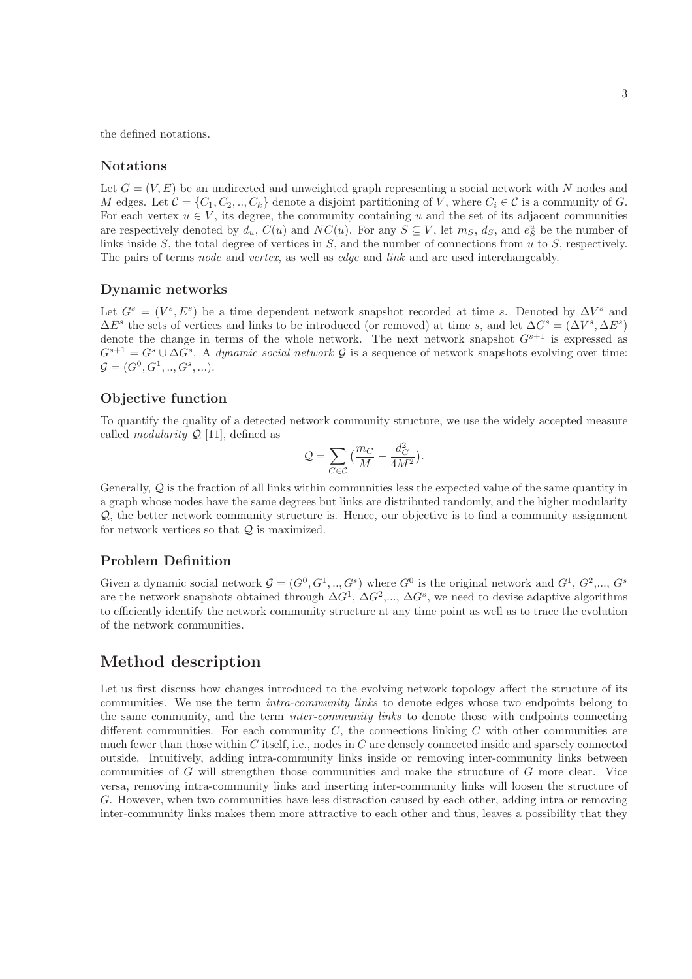the defined notations.

#### Notations

Let  $G = (V, E)$  be an undirected and unweighted graph representing a social network with N nodes and M edges. Let  $\mathcal{C} = \{C_1, C_2, ..., C_k\}$  denote a disjoint partitioning of V, where  $C_i \in \mathcal{C}$  is a community of G. For each vertex  $u \in V$ , its degree, the community containing u and the set of its adjacent communities are respectively denoted by  $d_u$ ,  $C(u)$  and  $NC(u)$ . For any  $S \subseteq V$ , let  $m_S$ ,  $d_S$ , and  $e_S^u$  be the number of links inside  $S$ , the total degree of vertices in  $S$ , and the number of connections from  $u$  to  $S$ , respectively. The pairs of terms *node* and *vertex*, as well as *edge* and *link* and are used interchangeably.

#### Dynamic networks

Let  $G^s = (V^s, E^s)$  be a time dependent network snapshot recorded at time s. Denoted by  $\Delta V^s$  and  $\Delta E^s$  the sets of vertices and links to be introduced (or removed) at time s, and let  $\Delta G^s = (\Delta V^s, \Delta E^s)$ denote the change in terms of the whole network. The next network snapshot  $G^{s+1}$  is expressed as  $G^{s+1} = G^s \cup \Delta G^s$ . A *dynamic social network*  $\mathcal G$  is a sequence of network snapshots evolving over time:  $\mathcal{G} = (G^0, G^1, ..., G^s, ...)$ .

### Objective function

To quantify the quality of a detected network community structure, we use the widely accepted measure called *modularity*  $Q$  [11], defined as

$$
\mathcal{Q} = \sum_{C \in \mathcal{C}} \left( \frac{m_C}{M} - \frac{d_C^2}{4M^2} \right).
$$

Generally,  $\mathcal Q$  is the fraction of all links within communities less the expected value of the same quantity in a graph whose nodes have the same degrees but links are distributed randomly, and the higher modularity Q, the better network community structure is. Hence, our objective is to find a community assignment for network vertices so that  $\mathcal Q$  is maximized.

### Problem Definition

Given a dynamic social network  $G = (G^0, G^1, ..., G^s)$  where  $G^0$  is the original network and  $G^1, G^2, ..., G^s$ are the network snapshots obtained through  $\Delta G^1$ ,  $\Delta G^2$ ,...,  $\Delta G^s$ , we need to devise adaptive algorithms to efficiently identify the network community structure at any time point as well as to trace the evolution of the network communities.

## Method description

Let us first discuss how changes introduced to the evolving network topology affect the structure of its communities. We use the term *intra-community links* to denote edges whose two endpoints belong to the same community, and the term *inter-community links* to denote those with endpoints connecting different communities. For each community  $C$ , the connections linking  $C$  with other communities are much fewer than those within C itself, i.e., nodes in C are densely connected inside and sparsely connected outside. Intuitively, adding intra-community links inside or removing inter-community links between communities of G will strengthen those communities and make the structure of G more clear. Vice versa, removing intra-community links and inserting inter-community links will loosen the structure of G. However, when two communities have less distraction caused by each other, adding intra or removing inter-community links makes them more attractive to each other and thus, leaves a possibility that they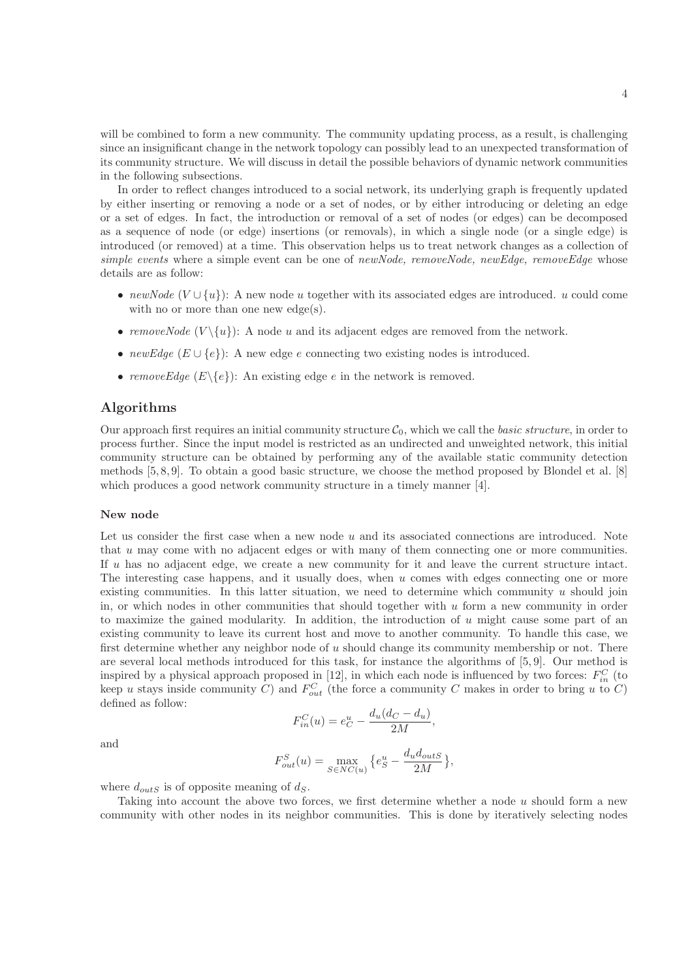will be combined to form a new community. The community updating process, as a result, is challenging since an insignificant change in the network topology can possibly lead to an unexpected transformation of its community structure. We will discuss in detail the possible behaviors of dynamic network communities in the following subsections.

In order to reflect changes introduced to a social network, its underlying graph is frequently updated by either inserting or removing a node or a set of nodes, or by either introducing or deleting an edge or a set of edges. In fact, the introduction or removal of a set of nodes (or edges) can be decomposed as a sequence of node (or edge) insertions (or removals), in which a single node (or a single edge) is introduced (or removed) at a time. This observation helps us to treat network changes as a collection of *simple events* where a simple event can be one of *newNode, removeNode, newEdge, removeEdge* whose details are as follow:

- *newNode* (V ∪ {u}): A new node u together with its associated edges are introduced. u could come with no or more than one new  $edge(s)$ .
- *removeNode*  $(V \setminus \{u\})$ : A node u and its adjacent edges are removed from the network.
- *newEdge*  $(E \cup \{e\})$ : A new edge  $e$  connecting two existing nodes is introduced.
- *removeEdge*  $(E \setminus \{e\})$ : An existing edge *e* in the network is removed.

#### Algorithms

Our approach first requires an initial community structure  $C_0$ , which we call the *basic structure*, in order to process further. Since the input model is restricted as an undirected and unweighted network, this initial community structure can be obtained by performing any of the available static community detection methods [5, 8, 9]. To obtain a good basic structure, we choose the method proposed by Blondel et al. [8] which produces a good network community structure in a timely manner [4].

#### New node

Let us consider the first case when a new node u and its associated connections are introduced. Note that u may come with no adjacent edges or with many of them connecting one or more communities. If  $u$  has no adjacent edge, we create a new community for it and leave the current structure intact. The interesting case happens, and it usually does, when  $u$  comes with edges connecting one or more existing communities. In this latter situation, we need to determine which community  $u$  should join in, or which nodes in other communities that should together with  $u$  form a new community in order to maximize the gained modularity. In addition, the introduction of u might cause some part of an existing community to leave its current host and move to another community. To handle this case, we first determine whether any neighbor node of u should change its community membership or not. There are several local methods introduced for this task, for instance the algorithms of [5, 9]. Our method is inspired by a physical approach proposed in [12], in which each node is influenced by two forces:  $F_{in}^C$  (to keep u stays inside community C) and  $F_{out}^C$  (the force a community C makes in order to bring u to C) defined as follow:

$$
F_{in}^{C}(u) = e_{C}^{u} - \frac{d_{u}(d_{C} - d_{u})}{2M},
$$

and

$$
F_{out}^S(u) = \max_{S \in NC(u)} \left\{ e_S^u - \frac{d_u d_{outS}}{2M} \right\},\,
$$

where  $d_{outS}$  is of opposite meaning of  $d_S$ .

Taking into account the above two forces, we first determine whether a node  $u$  should form a new community with other nodes in its neighbor communities. This is done by iteratively selecting nodes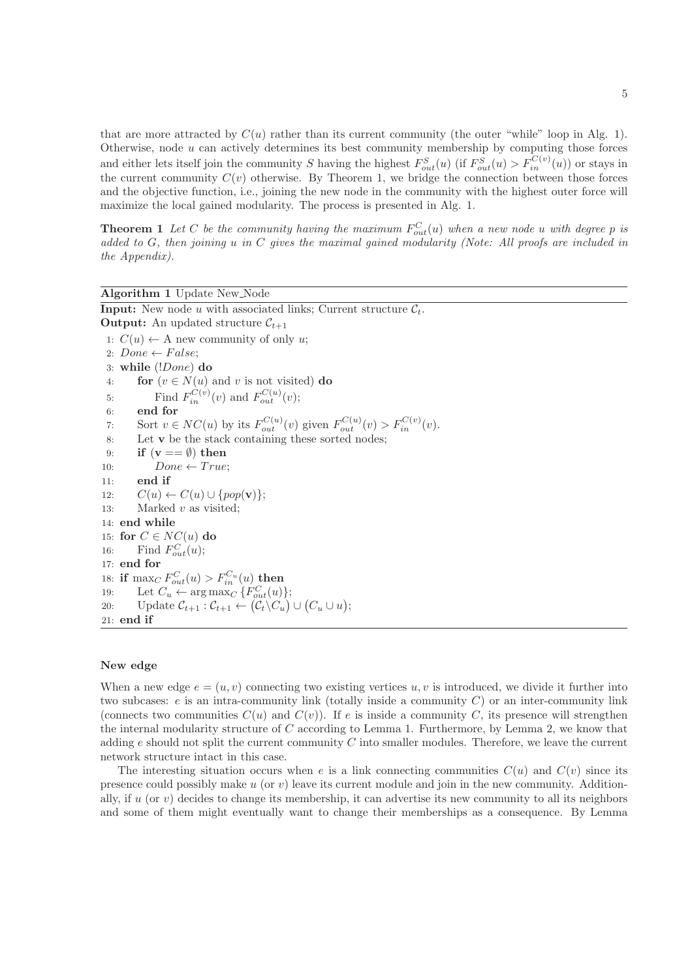that are more attracted by  $C(u)$  rather than its current community (the outer "while" loop in Alg. 1). Otherwise, node  $u$  can actively determines its best community membership by computing those forces and either lets itself join the community S having the highest  $F_{out}^S(u)$  (if  $F_{out}^S(u) > F_{in}^{C(v)}(u)$ ) or stays in the current community  $C(v)$  otherwise. By Theorem 1, we bridge the connection between those forces and the objective function, i.e., joining the new node in the community with the highest outer force will maximize the local gained modularity. The process is presented in Alg. 1.

**Theorem 1** Let C be the community having the maximum  $F_{out}^C(u)$  when a new node u with degree p is *added to* G*, then joining* u *in* C *gives the maximal gained modularity (Note: All proofs are included in the Appendix).*

Algorithm 1 Update New Node **Input:** New node u with associated links; Current structure  $\mathcal{C}_t$ . **Output:** An updated structure  $C_{t+1}$ 1:  $C(u) \leftarrow A$  new community of only u; 2:  $Done \leftarrow False;$ 3: while (!Done) do 4: for  $(v \in N(u)$  and v is not visited) do 5: Find  $F_{in}^{C(v)}(v)$  and  $F_{out}^{C(u)}(v)$ ; 6: end for 7: Sort  $v \in NC(u)$  by its  $F_{out}^{C(u)}(v)$  given  $F_{out}^{C(u)}(v) > F_{in}^{C(v)}(v)$ . 8: Let v be the stack containing these sorted nodes; 9: if  $(v == \emptyset)$  then 10:  $Done \leftarrow True;$ 11: end if 12:  $C(u) \leftarrow C(u) \cup \{pop(\mathbf{v})\};$ 13: Marked v as visited; 14: end while 15: for  $C \in NC(u)$  do 16: Find  $F_{out}^C(u)$ ; 17: end for 18: if  $\max_C F_{out}^C(u) > F_{in}^{C_u}(u)$  then 19: Let  $C_u \leftarrow \arg \max_C \{ F_{out}^C(u) \};$ 20: Update  $\mathcal{C}_{t+1} : \mathcal{C}_{t+1} \leftarrow (\mathcal{C}_t \backslash C_u) \cup (C_u \cup u);$ 21: end if

#### New edge

When a new edge  $e = (u, v)$  connecting two existing vertices u, v is introduced, we divide it further into two subcases:  $e$  is an intra-community link (totally inside a community  $C$ ) or an inter-community link (connects two communities  $C(u)$  and  $C(v)$ ). If e is inside a community C, its presence will strengthen the internal modularity structure of  $C$  according to Lemma 1. Furthermore, by Lemma 2, we know that adding  $e$  should not split the current community  $C$  into smaller modules. Therefore, we leave the current network structure intact in this case.

The interesting situation occurs when e is a link connecting communities  $C(u)$  and  $C(v)$  since its presence could possibly make  $u$  (or  $v$ ) leave its current module and join in the new community. Additionally, if  $u$  (or v) decides to change its membership, it can advertise its new community to all its neighbors and some of them might eventually want to change their memberships as a consequence. By Lemma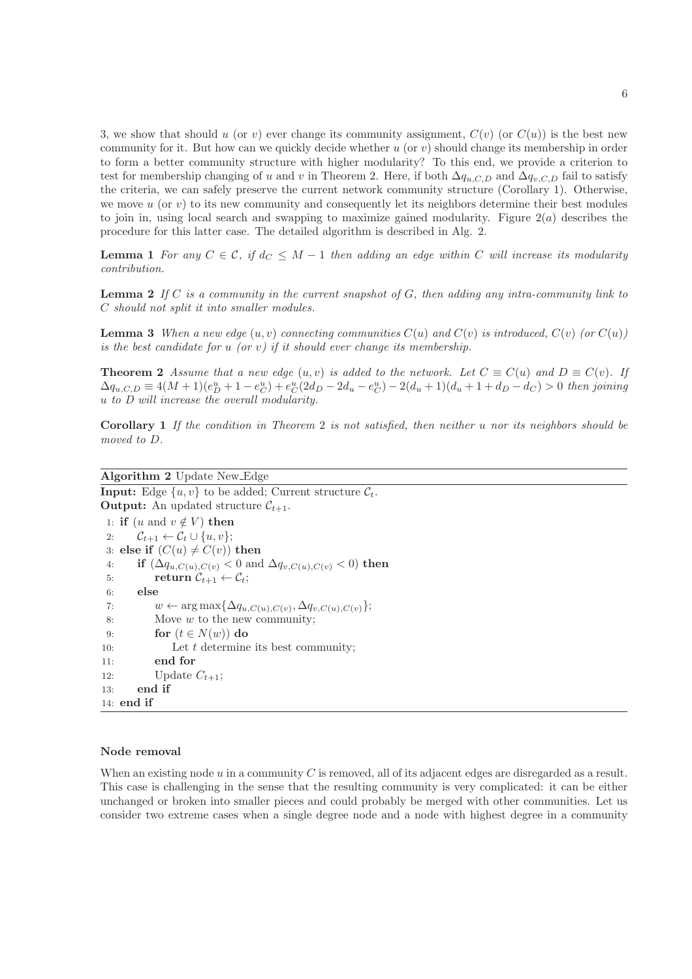3, we show that should u (or v) ever change its community assignment,  $C(v)$  (or  $C(u)$ ) is the best new community for it. But how can we quickly decide whether  $u$  (or  $v$ ) should change its membership in order to form a better community structure with higher modularity? To this end, we provide a criterion to test for membership changing of u and v in Theorem 2. Here, if both  $\Delta q_{u,C,D}$  and  $\Delta q_{v,C,D}$  fail to satisfy the criteria, we can safely preserve the current network community structure (Corollary 1). Otherwise, we move  $u$  (or  $v$ ) to its new community and consequently let its neighbors determine their best modules to join in, using local search and swapping to maximize gained modularity. Figure  $2(a)$  describes the procedure for this latter case. The detailed algorithm is described in Alg. 2.

**Lemma 1** For any  $C \in \mathcal{C}$ , if  $d_C \leq M - 1$  then adding an edge within C will increase its modularity *contribution.*

Lemma 2 *If* C *is a community in the current snapshot of* G*, then adding any intra-community link to* C *should not split it into smaller modules.*

**Lemma 3** When a new edge  $(u, v)$  connecting communities  $C(u)$  and  $C(v)$  is introduced,  $C(v)$  (or  $C(u)$ ) *is the best candidate for* u *(or* v*) if it should ever change its membership.*

**Theorem 2** Assume that a new edge  $(u, v)$  is added to the network. Let  $C \equiv C(u)$  and  $D \equiv C(v)$ . If  $\Delta q_{u,C,D} \equiv 4(M+1)(e_{D}^{u}+1-e_{C}^{u})+e_{C}^{u}(2d_{D}-2d_{u}-e_{C}^{u})-2(d_{u}+1)(d_{u}+1+d_{D}-d_{C})>0$  then joining u *to D will increase the overall modularity.*

Corollary 1 *If the condition in Theorem* 2 *is not satisfied, then neither* u *nor its neighbors should be moved to* D*.*

```
Algorithm 2 Update New Edge
Input: Edge \{u, v\} to be added; Current structure \mathcal{C}_t.
Output: An updated structure \mathcal{C}_{t+1}.
 1: if (u \text{ and } v \notin V) then
 2: \mathcal{C}_{t+1} \leftarrow \mathcal{C}_t \cup \{u, v\};3: else if (C(u) \neq C(v)) then
 4: if (\Delta q_{u,C(u),C(v)} < 0 \text{ and } \Delta q_{v,C(u),C(v)} < 0) then
 5: return \mathcal{C}_{t+1} \leftarrow \mathcal{C}_t;
 6: else
 7: w \leftarrow \arg \max \{ \Delta q_{u,C(u),C(v)}, \Delta q_{v,C(u),C(v)} \};8: Move w to the new community;
 9: for (t \in N(w)) do
10: Let t determine its best community;
11: end for
12: Update C_{t+1};
13: end if
14: end if
```
#### Node removal

When an existing node u in a community C is removed, all of its adjacent edges are disregarded as a result. This case is challenging in the sense that the resulting community is very complicated: it can be either unchanged or broken into smaller pieces and could probably be merged with other communities. Let us consider two extreme cases when a single degree node and a node with highest degree in a community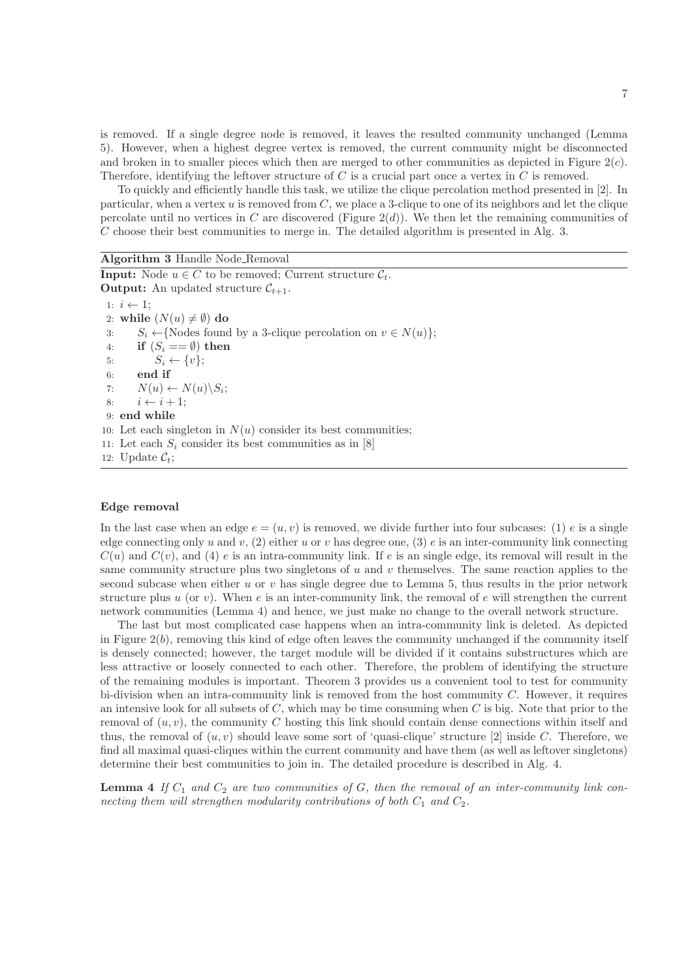is removed. If a single degree node is removed, it leaves the resulted community unchanged (Lemma 5). However, when a highest degree vertex is removed, the current community might be disconnected and broken in to smaller pieces which then are merged to other communities as depicted in Figure  $2(c)$ . Therefore, identifying the leftover structure of  $C$  is a crucial part once a vertex in  $C$  is removed.

To quickly and efficiently handle this task, we utilize the clique percolation method presented in [2]. In particular, when a vertex  $u$  is removed from  $C$ , we place a 3-clique to one of its neighbors and let the clique percolate until no vertices in C are discovered (Figure  $2(d)$ ). We then let the remaining communities of C choose their best communities to merge in. The detailed algorithm is presented in Alg. 3.

### Algorithm 3 Handle Node Removal

**Input:** Node  $u \in C$  to be removed; Current structure  $C_t$ . **Output:** An updated structure  $\mathcal{C}_{t+1}$ . 1:  $i \leftarrow 1$ ; 2: while  $(N(u) \neq \emptyset)$  do 3:  $S_i \leftarrow \{\text{Nodes found by a 3-clique percolation on } v \in N(u)\};$ 4: if  $(S_i == \emptyset)$  then 5:  $S_i \leftarrow \{v\};$ 6: end if 7:  $N(u) \leftarrow N(u) \backslash S_i;$ 8:  $i \leftarrow i + 1$ ; 9: end while 10: Let each singleton in  $N(u)$  consider its best communities; 11: Let each  $S_i$  consider its best communities as in [8] 12: Update  $\mathcal{C}_t$ ;

#### Edge removal

In the last case when an edge  $e = (u, v)$  is removed, we divide further into four subcases: (1) e is a single edge connecting only u and v, (2) either u or v has degree one, (3) e is an inter-community link connecting  $C(u)$  and  $C(v)$ , and (4) e is an intra-community link. If e is an single edge, its removal will result in the same community structure plus two singletons of  $u$  and  $v$  themselves. The same reaction applies to the second subcase when either u or v has single degree due to Lemma 5, thus results in the prior network structure plus u (or v). When e is an inter-community link, the removal of e will strengthen the current network communities (Lemma 4) and hence, we just make no change to the overall network structure.

The last but most complicated case happens when an intra-community link is deleted. As depicted in Figure  $2(b)$ , removing this kind of edge often leaves the community unchanged if the community itself is densely connected; however, the target module will be divided if it contains substructures which are less attractive or loosely connected to each other. Therefore, the problem of identifying the structure of the remaining modules is important. Theorem 3 provides us a convenient tool to test for community bi-division when an intra-community link is removed from the host community  $C$ . However, it requires an intensive look for all subsets of  $C$ , which may be time consuming when  $C$  is big. Note that prior to the removal of  $(u, v)$ , the community C hosting this link should contain dense connections within itself and thus, the removal of  $(u, v)$  should leave some sort of 'quasi-clique' structure [2] inside C. Therefore, we find all maximal quasi-cliques within the current community and have them (as well as leftover singletons) determine their best communities to join in. The detailed procedure is described in Alg. 4.

**Lemma 4** If  $C_1$  and  $C_2$  are two communities of  $G$ , then the removal of an inter-community link con*necting them will strengthen modularity contributions of both*  $C_1$  *and*  $C_2$ *.*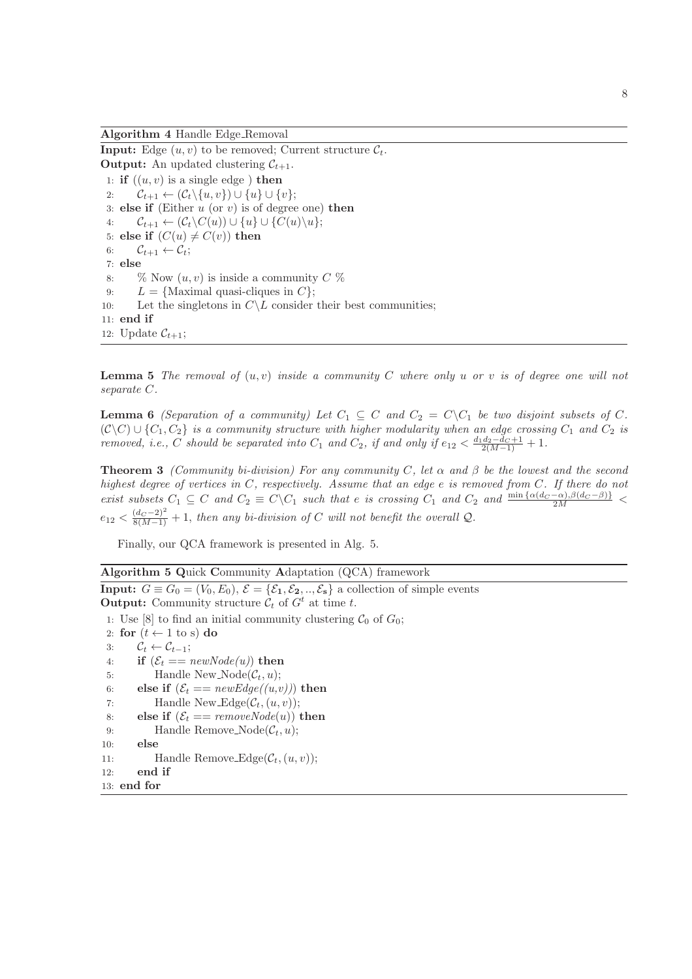Algorithm 4 Handle Edge Removal

**Input:** Edge  $(u, v)$  to be removed; Current structure  $\mathcal{C}_t$ . **Output:** An updated clustering  $C_{t+1}$ . 1: if  $((u, v)$  is a single edge) then 2:  $\mathcal{C}_{t+1} \leftarrow (\mathcal{C}_t \setminus \{u, v\}) \cup \{u\} \cup \{v\};$ 3: else if (Either  $u$  (or  $v$ ) is of degree one) then 4:  $\mathcal{C}_{t+1} \leftarrow (\mathcal{C}_t \backslash C(u)) \cup \{u\} \cup \{C(u) \backslash u\};$ 5: else if  $(C(u) \neq C(v))$  then 6:  $\mathcal{C}_{t+1} \leftarrow \mathcal{C}_t$ ; 7: else 8:  $\%$  Now  $(u, v)$  is inside a community  $C$  % 9:  $L = \{\text{Maximal quasi-cliques in } C\};$ 10: Let the singletons in  $C\backslash L$  consider their best communities; 11: end if 12: Update  $\mathcal{C}_{t+1}$ ;

Lemma 5 *The removal of* (u, v) *inside a community* C *where only* u *or* v *is of degree one will not separate* C*.*

**Lemma 6** *(Separation of a community) Let*  $C_1 \subseteq C$  *and*  $C_2 = C \setminus C_1$  *be two disjoint subsets of* C.  $(C\setminus C) \cup \{C_1, C_2\}$  *is a community structure with higher modularity when an edge crossing*  $C_1$  *and*  $C_2$  *is removed, i.e.,* C *should be separated into*  $C_1$  *and*  $C_2$ *, if and only if*  $e_{12} < \frac{d_1d_2-d_C+1}{2(M-1)} + 1$ *.* 

**Theorem 3** *(Community bi-division) For any community* C, let  $\alpha$  and  $\beta$  be the lowest and the second *highest degree of vertices in* C*, respectively. Assume that an edge* e *is removed from* C*. If there do not exist subsets*  $C_1 \subseteq C$  *and*  $C_2 \equiv C \setminus C_1$  *such that e is crossing*  $C_1$  *and*  $C_2$  *and*  $\frac{\min{\{\alpha(d_C - \alpha), \beta(d_C - \beta)\}}}{2M}$  $e_{12} < \frac{(d_C - 2)^2}{8(M-1)} + 1$ , then any bi-division of C will not benefit the overall Q.

Finally, our QCA framework is presented in Alg. 5.

Algorithm 5 Quick Community Adaptation (QCA) framework

**Input:**  $G \equiv G_0 = (V_0, E_0), \mathcal{E} = {\mathcal{E}_1, \mathcal{E}_2, ..., \mathcal{E}_s}$  a collection of simple events **Output:** Community structure  $\mathcal{C}_t$  of  $G^t$  at time t. 1: Use [8] to find an initial community clustering  $C_0$  of  $G_0$ ; 2: for  $(t \leftarrow 1$  to s) do 3:  $\mathcal{C}_t \leftarrow \mathcal{C}_{t-1};$ 4: **if**  $(\mathcal{E}_t == \text{newNode}(u))$  then 5: Handle New\_Node $(\mathcal{C}_t, u);$ 6: else if  $(\mathcal{E}_t == \text{newEdge}((u, v)))$  then 7: Handle New\_Edge $(\mathcal{C}_t,(u,v));$ 8: else if  $(\mathcal{E}_t == removeNode(u))$  then 9: Handle Remove\_Node $(\mathcal{C}_t, u);$ 10: else 11: Handle Remove\_Edge( $\mathcal{C}_t$ ,  $(u, v)$ ); 12: end if 13: end for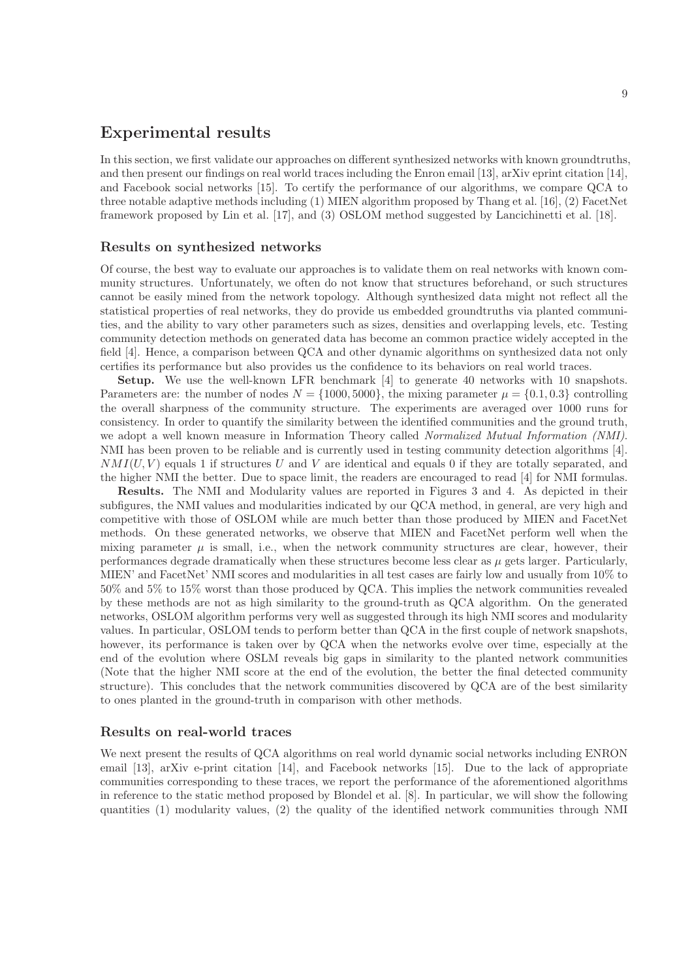### Experimental results

In this section, we first validate our approaches on different synthesized networks with known groundtruths, and then present our findings on real world traces including the Enron email [13], arXiv eprint citation [14], and Facebook social networks [15]. To certify the performance of our algorithms, we compare QCA to three notable adaptive methods including  $(1)$  MIEN algorithm proposed by Thang et al. [16],  $(2)$  FacetNet framework proposed by Lin et al. [17], and (3) OSLOM method suggested by Lancichinetti et al. [18].

#### Results on synthesized networks

Of course, the best way to evaluate our approaches is to validate them on real networks with known community structures. Unfortunately, we often do not know that structures beforehand, or such structures cannot be easily mined from the network topology. Although synthesized data might not reflect all the statistical properties of real networks, they do provide us embedded groundtruths via planted communities, and the ability to vary other parameters such as sizes, densities and overlapping levels, etc. Testing community detection methods on generated data has become an common practice widely accepted in the field [4]. Hence, a comparison between QCA and other dynamic algorithms on synthesized data not only certifies its performance but also provides us the confidence to its behaviors on real world traces.

Setup. We use the well-known LFR benchmark [4] to generate 40 networks with 10 snapshots. Parameters are: the number of nodes  $N = \{1000, 5000\}$ , the mixing parameter  $\mu = \{0.1, 0.3\}$  controlling the overall sharpness of the community structure. The experiments are averaged over 1000 runs for consistency. In order to quantify the similarity between the identified communities and the ground truth, we adopt a well known measure in Information Theory called *Normalized Mutual Information (NMI)*. NMI has been proven to be reliable and is currently used in testing community detection algorithms [4].  $NMI(U, V)$  equals 1 if structures U and V are identical and equals 0 if they are totally separated, and the higher NMI the better. Due to space limit, the readers are encouraged to read [4] for NMI formulas.

Results. The NMI and Modularity values are reported in Figures 3 and 4. As depicted in their subfigures, the NMI values and modularities indicated by our QCA method, in general, are very high and competitive with those of OSLOM while are much better than those produced by MIEN and FacetNet methods. On these generated networks, we observe that MIEN and FacetNet perform well when the mixing parameter  $\mu$  is small, i.e., when the network community structures are clear, however, their performances degrade dramatically when these structures become less clear as  $\mu$  gets larger. Particularly, MIEN' and FacetNet' NMI scores and modularities in all test cases are fairly low and usually from 10% to 50% and 5% to 15% worst than those produced by QCA. This implies the network communities revealed by these methods are not as high similarity to the ground-truth as QCA algorithm. On the generated networks, OSLOM algorithm performs very well as suggested through its high NMI scores and modularity values. In particular, OSLOM tends to perform better than QCA in the first couple of network snapshots, however, its performance is taken over by QCA when the networks evolve over time, especially at the end of the evolution where OSLM reveals big gaps in similarity to the planted network communities (Note that the higher NMI score at the end of the evolution, the better the final detected community structure). This concludes that the network communities discovered by QCA are of the best similarity to ones planted in the ground-truth in comparison with other methods.

#### Results on real-world traces

We next present the results of QCA algorithms on real world dynamic social networks including ENRON email [13], arXiv e-print citation [14], and Facebook networks [15]. Due to the lack of appropriate communities corresponding to these traces, we report the performance of the aforementioned algorithms in reference to the static method proposed by Blondel et al. [8]. In particular, we will show the following quantities (1) modularity values, (2) the quality of the identified network communities through NMI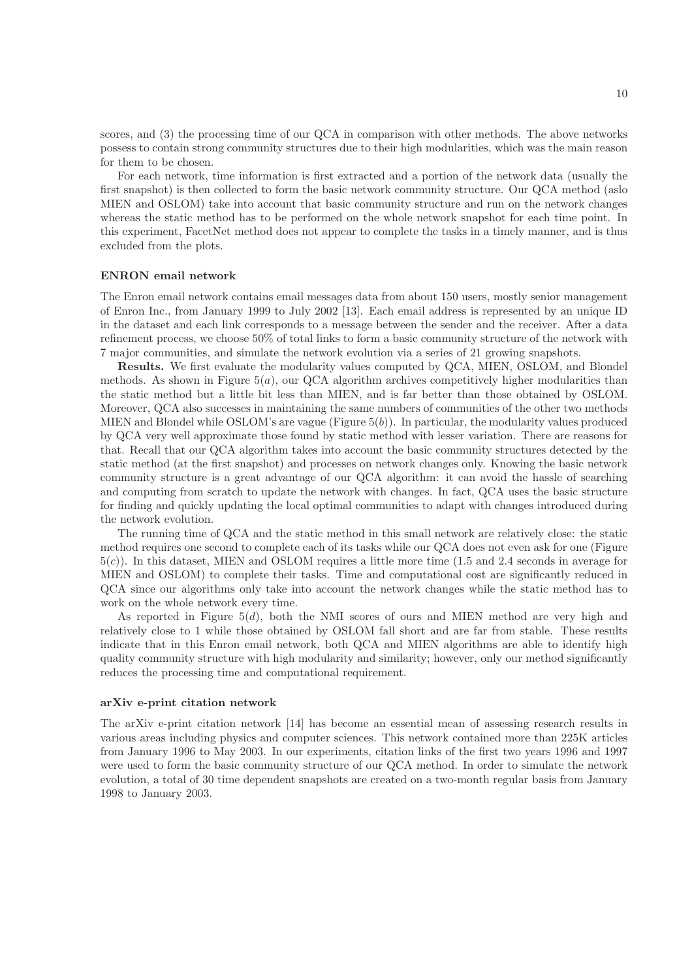scores, and (3) the processing time of our QCA in comparison with other methods. The above networks possess to contain strong community structures due to their high modularities, which was the main reason for them to be chosen.

For each network, time information is first extracted and a portion of the network data (usually the first snapshot) is then collected to form the basic network community structure. Our QCA method (aslo MIEN and OSLOM) take into account that basic community structure and run on the network changes whereas the static method has to be performed on the whole network snapshot for each time point. In this experiment, FacetNet method does not appear to complete the tasks in a timely manner, and is thus excluded from the plots.

#### ENRON email network

The Enron email network contains email messages data from about 150 users, mostly senior management of Enron Inc., from January 1999 to July 2002 [13]. Each email address is represented by an unique ID in the dataset and each link corresponds to a message between the sender and the receiver. After a data refinement process, we choose 50% of total links to form a basic community structure of the network with 7 major communities, and simulate the network evolution via a series of 21 growing snapshots.

Results. We first evaluate the modularity values computed by QCA, MIEN, OSLOM, and Blondel methods. As shown in Figure  $5(a)$ , our QCA algorithm archives competitively higher modularities than the static method but a little bit less than MIEN, and is far better than those obtained by OSLOM. Moreover, QCA also successes in maintaining the same numbers of communities of the other two methods MIEN and Blondel while OSLOM's are vague (Figure  $5(b)$ ). In particular, the modularity values produced by QCA very well approximate those found by static method with lesser variation. There are reasons for that. Recall that our QCA algorithm takes into account the basic community structures detected by the static method (at the first snapshot) and processes on network changes only. Knowing the basic network community structure is a great advantage of our QCA algorithm: it can avoid the hassle of searching and computing from scratch to update the network with changes. In fact, QCA uses the basic structure for finding and quickly updating the local optimal communities to adapt with changes introduced during the network evolution.

The running time of QCA and the static method in this small network are relatively close: the static method requires one second to complete each of its tasks while our QCA does not even ask for one (Figure  $5(c)$ ). In this dataset, MIEN and OSLOM requires a little more time (1.5 and 2.4 seconds in average for MIEN and OSLOM) to complete their tasks. Time and computational cost are significantly reduced in QCA since our algorithms only take into account the network changes while the static method has to work on the whole network every time.

As reported in Figure  $5(d)$ , both the NMI scores of ours and MIEN method are very high and relatively close to 1 while those obtained by OSLOM fall short and are far from stable. These results indicate that in this Enron email network, both QCA and MIEN algorithms are able to identify high quality community structure with high modularity and similarity; however, only our method significantly reduces the processing time and computational requirement.

#### arXiv e-print citation network

The arXiv e-print citation network [14] has become an essential mean of assessing research results in various areas including physics and computer sciences. This network contained more than 225K articles from January 1996 to May 2003. In our experiments, citation links of the first two years 1996 and 1997 were used to form the basic community structure of our QCA method. In order to simulate the network evolution, a total of 30 time dependent snapshots are created on a two-month regular basis from January 1998 to January 2003.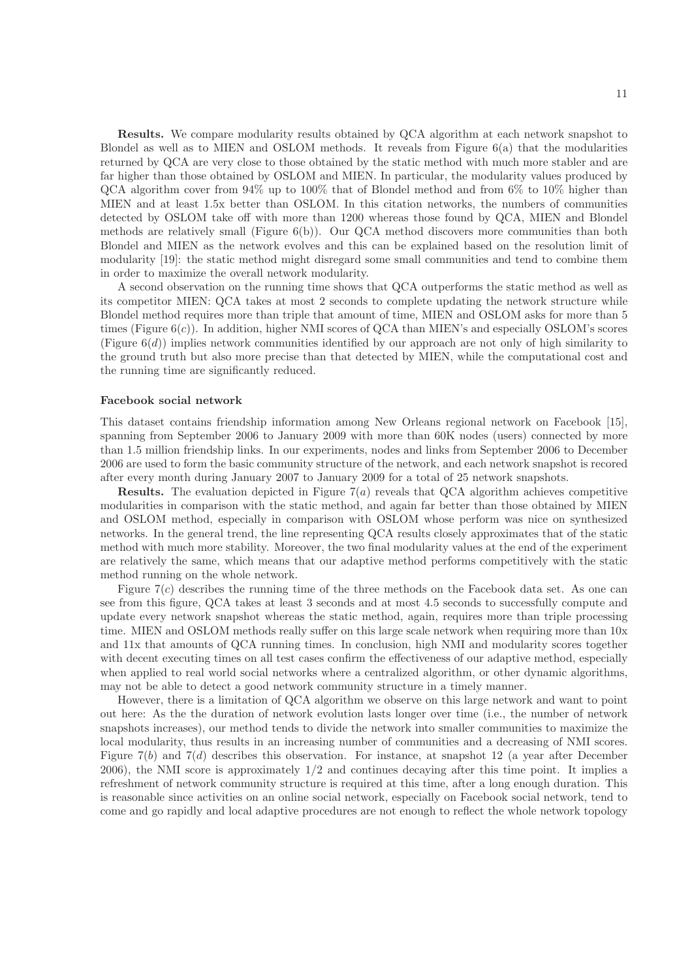Results. We compare modularity results obtained by QCA algorithm at each network snapshot to Blondel as well as to MIEN and OSLOM methods. It reveals from Figure  $6(a)$  that the modularities returned by QCA are very close to those obtained by the static method with much more stabler and are far higher than those obtained by OSLOM and MIEN. In particular, the modularity values produced by QCA algorithm cover from 94% up to 100% that of Blondel method and from 6% to 10% higher than MIEN and at least 1.5x better than OSLOM. In this citation networks, the numbers of communities detected by OSLOM take off with more than 1200 whereas those found by QCA, MIEN and Blondel methods are relatively small (Figure 6(b)). Our QCA method discovers more communities than both Blondel and MIEN as the network evolves and this can be explained based on the resolution limit of modularity [19]: the static method might disregard some small communities and tend to combine them in order to maximize the overall network modularity.

A second observation on the running time shows that QCA outperforms the static method as well as its competitor MIEN: QCA takes at most 2 seconds to complete updating the network structure while Blondel method requires more than triple that amount of time, MIEN and OSLOM asks for more than 5 times (Figure  $6(c)$ ). In addition, higher NMI scores of QCA than MIEN's and especially OSLOM's scores (Figure  $6(d)$ ) implies network communities identified by our approach are not only of high similarity to the ground truth but also more precise than that detected by MIEN, while the computational cost and the running time are significantly reduced.

#### Facebook social network

This dataset contains friendship information among New Orleans regional network on Facebook [15], spanning from September 2006 to January 2009 with more than 60K nodes (users) connected by more than 1.5 million friendship links. In our experiments, nodes and links from September 2006 to December 2006 are used to form the basic community structure of the network, and each network snapshot is recored after every month during January 2007 to January 2009 for a total of 25 network snapshots.

**Results.** The evaluation depicted in Figure  $7(a)$  reveals that QCA algorithm achieves competitive modularities in comparison with the static method, and again far better than those obtained by MIEN and OSLOM method, especially in comparison with OSLOM whose perform was nice on synthesized networks. In the general trend, the line representing QCA results closely approximates that of the static method with much more stability. Moreover, the two final modularity values at the end of the experiment are relatively the same, which means that our adaptive method performs competitively with the static method running on the whole network.

Figure  $7(c)$  describes the running time of the three methods on the Facebook data set. As one can see from this figure, QCA takes at least 3 seconds and at most 4.5 seconds to successfully compute and update every network snapshot whereas the static method, again, requires more than triple processing time. MIEN and OSLOM methods really suffer on this large scale network when requiring more than 10x and 11x that amounts of QCA running times. In conclusion, high NMI and modularity scores together with decent executing times on all test cases confirm the effectiveness of our adaptive method, especially when applied to real world social networks where a centralized algorithm, or other dynamic algorithms, may not be able to detect a good network community structure in a timely manner.

However, there is a limitation of QCA algorithm we observe on this large network and want to point out here: As the the duration of network evolution lasts longer over time (i.e., the number of network snapshots increases), our method tends to divide the network into smaller communities to maximize the local modularity, thus results in an increasing number of communities and a decreasing of NMI scores. Figure  $7(b)$  and  $7(d)$  describes this observation. For instance, at snapshot 12 (a year after December 2006), the NMI score is approximately 1/2 and continues decaying after this time point. It implies a refreshment of network community structure is required at this time, after a long enough duration. This is reasonable since activities on an online social network, especially on Facebook social network, tend to come and go rapidly and local adaptive procedures are not enough to reflect the whole network topology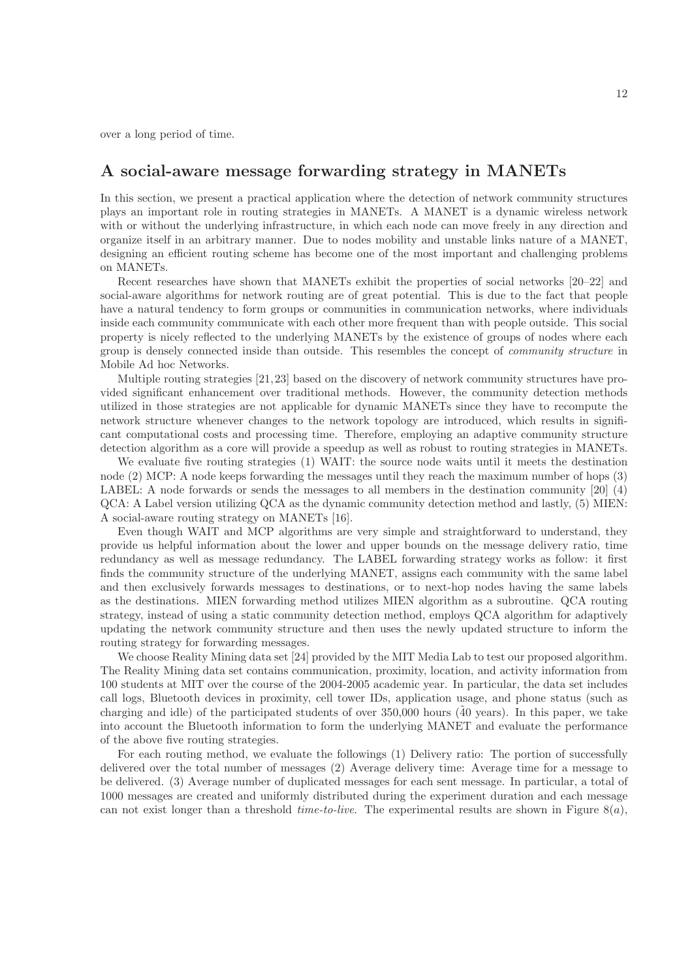over a long period of time.

### A social-aware message forwarding strategy in MANETs

In this section, we present a practical application where the detection of network community structures plays an important role in routing strategies in MANETs. A MANET is a dynamic wireless network with or without the underlying infrastructure, in which each node can move freely in any direction and organize itself in an arbitrary manner. Due to nodes mobility and unstable links nature of a MANET, designing an efficient routing scheme has become one of the most important and challenging problems on MANETs.

Recent researches have shown that MANETs exhibit the properties of social networks [20–22] and social-aware algorithms for network routing are of great potential. This is due to the fact that people have a natural tendency to form groups or communities in communication networks, where individuals inside each community communicate with each other more frequent than with people outside. This social property is nicely reflected to the underlying MANETs by the existence of groups of nodes where each group is densely connected inside than outside. This resembles the concept of *community structure* in Mobile Ad hoc Networks.

Multiple routing strategies [21, 23] based on the discovery of network community structures have provided significant enhancement over traditional methods. However, the community detection methods utilized in those strategies are not applicable for dynamic MANETs since they have to recompute the network structure whenever changes to the network topology are introduced, which results in significant computational costs and processing time. Therefore, employing an adaptive community structure detection algorithm as a core will provide a speedup as well as robust to routing strategies in MANETs.

We evaluate five routing strategies (1) WAIT: the source node waits until it meets the destination node (2) MCP: A node keeps forwarding the messages until they reach the maximum number of hops (3) LABEL: A node forwards or sends the messages to all members in the destination community [20] (4) QCA: A Label version utilizing QCA as the dynamic community detection method and lastly, (5) MIEN: A social-aware routing strategy on MANETs [16].

Even though WAIT and MCP algorithms are very simple and straightforward to understand, they provide us helpful information about the lower and upper bounds on the message delivery ratio, time redundancy as well as message redundancy. The LABEL forwarding strategy works as follow: it first finds the community structure of the underlying MANET, assigns each community with the same label and then exclusively forwards messages to destinations, or to next-hop nodes having the same labels as the destinations. MIEN forwarding method utilizes MIEN algorithm as a subroutine. QCA routing strategy, instead of using a static community detection method, employs QCA algorithm for adaptively updating the network community structure and then uses the newly updated structure to inform the routing strategy for forwarding messages.

We choose Reality Mining data set [24] provided by the MIT Media Lab to test our proposed algorithm. The Reality Mining data set contains communication, proximity, location, and activity information from 100 students at MIT over the course of the 2004-2005 academic year. In particular, the data set includes call logs, Bluetooth devices in proximity, cell tower IDs, application usage, and phone status (such as charging and idle) of the participated students of over  $350,000$  hours ( $40$  years). In this paper, we take into account the Bluetooth information to form the underlying MANET and evaluate the performance of the above five routing strategies.

For each routing method, we evaluate the followings (1) Delivery ratio: The portion of successfully delivered over the total number of messages (2) Average delivery time: Average time for a message to be delivered. (3) Average number of duplicated messages for each sent message. In particular, a total of 1000 messages are created and uniformly distributed during the experiment duration and each message can not exist longer than a threshold *time-to-live*. The experimental results are shown in Figure 8(a),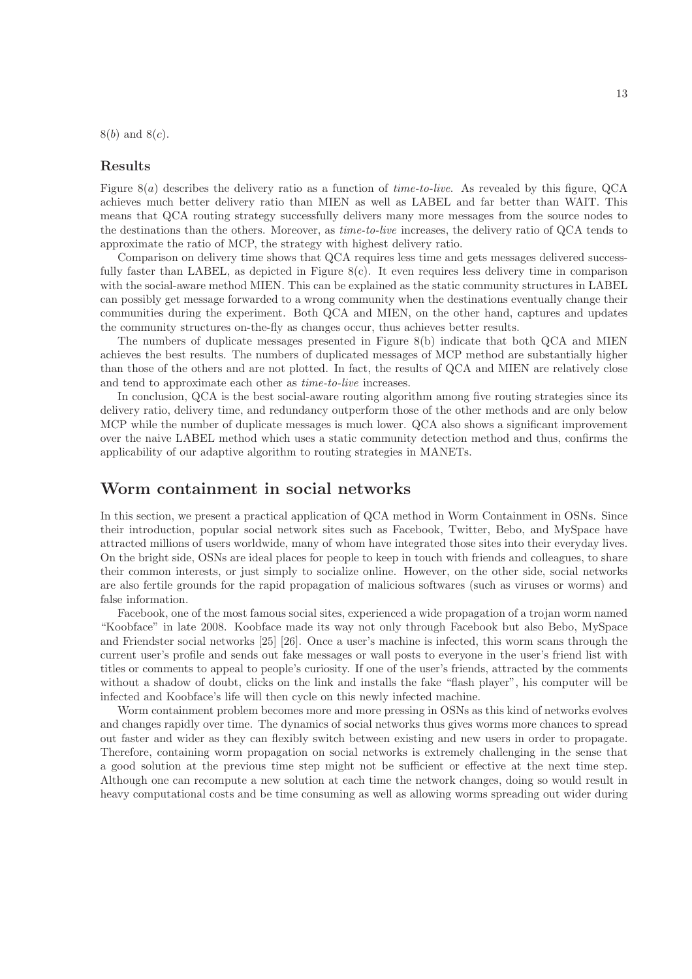$8(b)$  and  $8(c)$ .

#### Results

Figure 8(a) describes the delivery ratio as a function of *time-to-live*. As revealed by this figure, QCA achieves much better delivery ratio than MIEN as well as LABEL and far better than WAIT. This means that QCA routing strategy successfully delivers many more messages from the source nodes to the destinations than the others. Moreover, as *time-to-live* increases, the delivery ratio of QCA tends to approximate the ratio of MCP, the strategy with highest delivery ratio.

Comparison on delivery time shows that QCA requires less time and gets messages delivered successfully faster than LABEL, as depicted in Figure  $8(c)$ . It even requires less delivery time in comparison with the social-aware method MIEN. This can be explained as the static community structures in LABEL can possibly get message forwarded to a wrong community when the destinations eventually change their communities during the experiment. Both QCA and MIEN, on the other hand, captures and updates the community structures on-the-fly as changes occur, thus achieves better results.

The numbers of duplicate messages presented in Figure 8(b) indicate that both QCA and MIEN achieves the best results. The numbers of duplicated messages of MCP method are substantially higher than those of the others and are not plotted. In fact, the results of QCA and MIEN are relatively close and tend to approximate each other as *time-to-live* increases.

In conclusion, QCA is the best social-aware routing algorithm among five routing strategies since its delivery ratio, delivery time, and redundancy outperform those of the other methods and are only below MCP while the number of duplicate messages is much lower. QCA also shows a significant improvement over the naive LABEL method which uses a static community detection method and thus, confirms the applicability of our adaptive algorithm to routing strategies in MANETs.

### Worm containment in social networks

In this section, we present a practical application of QCA method in Worm Containment in OSNs. Since their introduction, popular social network sites such as Facebook, Twitter, Bebo, and MySpace have attracted millions of users worldwide, many of whom have integrated those sites into their everyday lives. On the bright side, OSNs are ideal places for people to keep in touch with friends and colleagues, to share their common interests, or just simply to socialize online. However, on the other side, social networks are also fertile grounds for the rapid propagation of malicious softwares (such as viruses or worms) and false information.

Facebook, one of the most famous social sites, experienced a wide propagation of a trojan worm named "Koobface" in late 2008. Koobface made its way not only through Facebook but also Bebo, MySpace and Friendster social networks [25] [26]. Once a user's machine is infected, this worm scans through the current user's profile and sends out fake messages or wall posts to everyone in the user's friend list with titles or comments to appeal to people's curiosity. If one of the user's friends, attracted by the comments without a shadow of doubt, clicks on the link and installs the fake "flash player", his computer will be infected and Koobface's life will then cycle on this newly infected machine.

Worm containment problem becomes more and more pressing in OSNs as this kind of networks evolves and changes rapidly over time. The dynamics of social networks thus gives worms more chances to spread out faster and wider as they can flexibly switch between existing and new users in order to propagate. Therefore, containing worm propagation on social networks is extremely challenging in the sense that a good solution at the previous time step might not be sufficient or effective at the next time step. Although one can recompute a new solution at each time the network changes, doing so would result in heavy computational costs and be time consuming as well as allowing worms spreading out wider during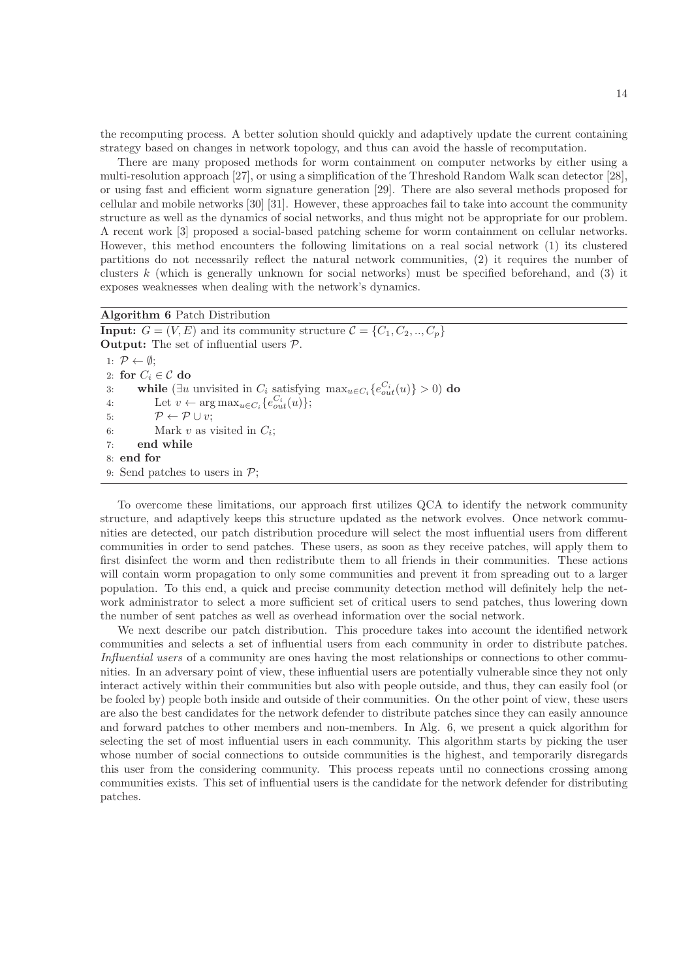the recomputing process. A better solution should quickly and adaptively update the current containing strategy based on changes in network topology, and thus can avoid the hassle of recomputation.

There are many proposed methods for worm containment on computer networks by either using a multi-resolution approach [27], or using a simplification of the Threshold Random Walk scan detector [28], or using fast and efficient worm signature generation [29]. There are also several methods proposed for cellular and mobile networks [30] [31]. However, these approaches fail to take into account the community structure as well as the dynamics of social networks, and thus might not be appropriate for our problem. A recent work [3] proposed a social-based patching scheme for worm containment on cellular networks. However, this method encounters the following limitations on a real social network (1) its clustered partitions do not necessarily reflect the natural network communities, (2) it requires the number of clusters k (which is generally unknown for social networks) must be specified beforehand, and (3) it exposes weaknesses when dealing with the network's dynamics.

| Algorithm 6 Patch Distribution                                                                        |
|-------------------------------------------------------------------------------------------------------|
| <b>Input:</b> $G = (V, E)$ and its community structure $\mathcal{C} = \{C_1, C_2, , C_p\}$            |
| <b>Output:</b> The set of influential users $\mathcal{P}$ .                                           |
| 1: $\mathcal{P} \leftarrow \emptyset$ ;                                                               |
| 2: for $C_i \in \mathcal{C}$ do                                                                       |
| while $(\exists u$ unvisited in $C_i$ satisfying $\max_{u \in C_i} \{e_{out}^{C_i}(u)\} > 0$ do<br>3: |
| Let $v \leftarrow \arg \max_{u \in C_i} \{e_{out}^{C_i}(u)\};$<br>4:                                  |
| $\mathcal{P} \leftarrow \mathcal{P} \cup v;$<br>5:                                                    |
| Mark v as visited in $C_i$ ;<br>6:                                                                    |
| end while<br>7:                                                                                       |
| 8: end for                                                                                            |
| 9: Send patches to users in $\mathcal{P}$ ;                                                           |

To overcome these limitations, our approach first utilizes QCA to identify the network community structure, and adaptively keeps this structure updated as the network evolves. Once network communities are detected, our patch distribution procedure will select the most influential users from different communities in order to send patches. These users, as soon as they receive patches, will apply them to first disinfect the worm and then redistribute them to all friends in their communities. These actions will contain worm propagation to only some communities and prevent it from spreading out to a larger population. To this end, a quick and precise community detection method will definitely help the network administrator to select a more sufficient set of critical users to send patches, thus lowering down the number of sent patches as well as overhead information over the social network.

We next describe our patch distribution. This procedure takes into account the identified network communities and selects a set of influential users from each community in order to distribute patches. *Influential users* of a community are ones having the most relationships or connections to other communities. In an adversary point of view, these influential users are potentially vulnerable since they not only interact actively within their communities but also with people outside, and thus, they can easily fool (or be fooled by) people both inside and outside of their communities. On the other point of view, these users are also the best candidates for the network defender to distribute patches since they can easily announce and forward patches to other members and non-members. In Alg. 6, we present a quick algorithm for selecting the set of most influential users in each community. This algorithm starts by picking the user whose number of social connections to outside communities is the highest, and temporarily disregards this user from the considering community. This process repeats until no connections crossing among communities exists. This set of influential users is the candidate for the network defender for distributing patches.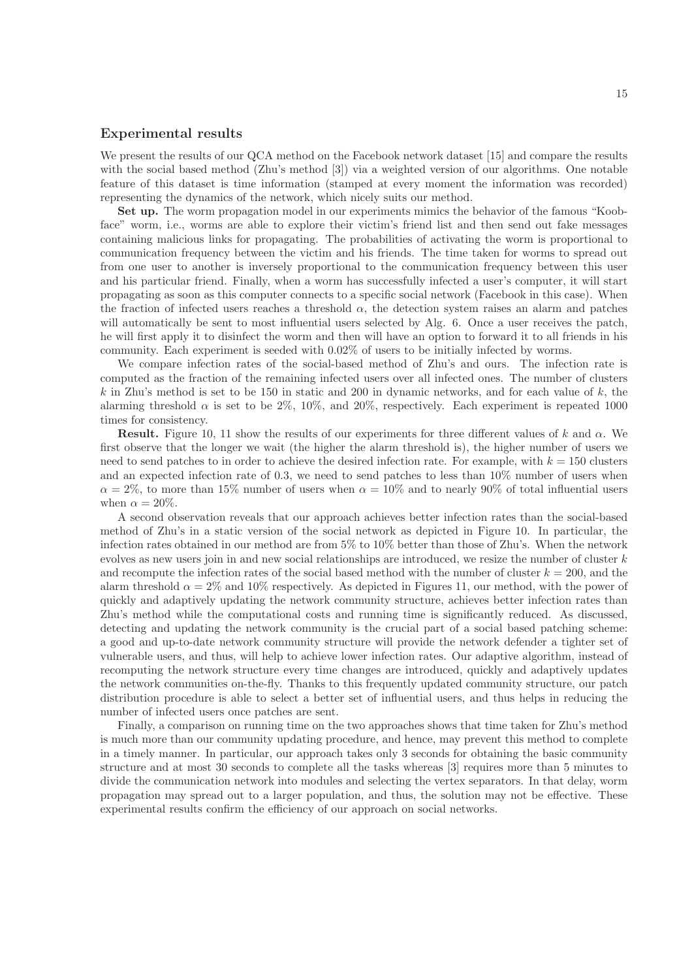#### Experimental results

We present the results of our QCA method on the Facebook network dataset [15] and compare the results with the social based method (Zhu's method [3]) via a weighted version of our algorithms. One notable feature of this dataset is time information (stamped at every moment the information was recorded) representing the dynamics of the network, which nicely suits our method.

Set up. The worm propagation model in our experiments mimics the behavior of the famous "Koobface" worm, i.e., worms are able to explore their victim's friend list and then send out fake messages containing malicious links for propagating. The probabilities of activating the worm is proportional to communication frequency between the victim and his friends. The time taken for worms to spread out from one user to another is inversely proportional to the communication frequency between this user and his particular friend. Finally, when a worm has successfully infected a user's computer, it will start propagating as soon as this computer connects to a specific social network (Facebook in this case). When the fraction of infected users reaches a threshold  $\alpha$ , the detection system raises an alarm and patches will automatically be sent to most influential users selected by Alg. 6. Once a user receives the patch, he will first apply it to disinfect the worm and then will have an option to forward it to all friends in his community. Each experiment is seeded with 0.02% of users to be initially infected by worms.

We compare infection rates of the social-based method of Zhu's and ours. The infection rate is computed as the fraction of the remaining infected users over all infected ones. The number of clusters k in Zhu's method is set to be 150 in static and 200 in dynamic networks, and for each value of k, the alarming threshold  $\alpha$  is set to be 2%, 10%, and 20%, respectively. Each experiment is repeated 1000 times for consistency.

**Result.** Figure 10, 11 show the results of our experiments for three different values of k and  $\alpha$ . We first observe that the longer we wait (the higher the alarm threshold is), the higher number of users we need to send patches to in order to achieve the desired infection rate. For example, with  $k = 150$  clusters and an expected infection rate of 0.3, we need to send patches to less than 10% number of users when  $\alpha = 2\%$ , to more than 15% number of users when  $\alpha = 10\%$  and to nearly 90% of total influential users when  $\alpha = 20\%$ .

A second observation reveals that our approach achieves better infection rates than the social-based method of Zhu's in a static version of the social network as depicted in Figure 10. In particular, the infection rates obtained in our method are from 5% to 10% better than those of Zhu's. When the network evolves as new users join in and new social relationships are introduced, we resize the number of cluster  $k$ and recompute the infection rates of the social based method with the number of cluster  $k = 200$ , and the alarm threshold  $\alpha = 2\%$  and 10% respectively. As depicted in Figures 11, our method, with the power of quickly and adaptively updating the network community structure, achieves better infection rates than Zhu's method while the computational costs and running time is significantly reduced. As discussed, detecting and updating the network community is the crucial part of a social based patching scheme: a good and up-to-date network community structure will provide the network defender a tighter set of vulnerable users, and thus, will help to achieve lower infection rates. Our adaptive algorithm, instead of recomputing the network structure every time changes are introduced, quickly and adaptively updates the network communities on-the-fly. Thanks to this frequently updated community structure, our patch distribution procedure is able to select a better set of influential users, and thus helps in reducing the number of infected users once patches are sent.

Finally, a comparison on running time on the two approaches shows that time taken for Zhu's method is much more than our community updating procedure, and hence, may prevent this method to complete in a timely manner. In particular, our approach takes only 3 seconds for obtaining the basic community structure and at most 30 seconds to complete all the tasks whereas [3] requires more than 5 minutes to divide the communication network into modules and selecting the vertex separators. In that delay, worm propagation may spread out to a larger population, and thus, the solution may not be effective. These experimental results confirm the efficiency of our approach on social networks.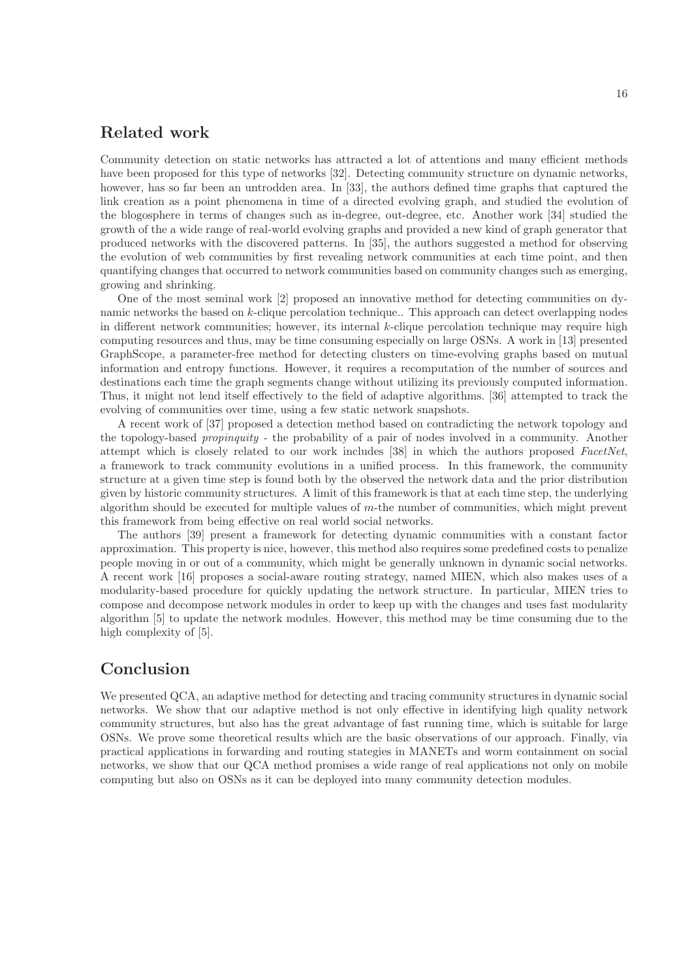## Related work

Community detection on static networks has attracted a lot of attentions and many efficient methods have been proposed for this type of networks [32]. Detecting community structure on dynamic networks, however, has so far been an untrodden area. In [33], the authors defined time graphs that captured the link creation as a point phenomena in time of a directed evolving graph, and studied the evolution of the blogosphere in terms of changes such as in-degree, out-degree, etc. Another work [34] studied the growth of the a wide range of real-world evolving graphs and provided a new kind of graph generator that produced networks with the discovered patterns. In [35], the authors suggested a method for observing the evolution of web communities by first revealing network communities at each time point, and then quantifying changes that occurred to network communities based on community changes such as emerging, growing and shrinking.

One of the most seminal work [2] proposed an innovative method for detecting communities on dynamic networks the based on k-clique percolation technique.. This approach can detect overlapping nodes in different network communities; however, its internal k-clique percolation technique may require high computing resources and thus, may be time consuming especially on large OSNs. A work in [13] presented GraphScope, a parameter-free method for detecting clusters on time-evolving graphs based on mutual information and entropy functions. However, it requires a recomputation of the number of sources and destinations each time the graph segments change without utilizing its previously computed information. Thus, it might not lend itself effectively to the field of adaptive algorithms. [36] attempted to track the evolving of communities over time, using a few static network snapshots.

A recent work of [37] proposed a detection method based on contradicting the network topology and the topology-based *propinquity* - the probability of a pair of nodes involved in a community. Another attempt which is closely related to our work includes [38] in which the authors proposed *FacetNet*, a framework to track community evolutions in a unified process. In this framework, the community structure at a given time step is found both by the observed the network data and the prior distribution given by historic community structures. A limit of this framework is that at each time step, the underlying algorithm should be executed for multiple values of  $m$ -the number of communities, which might prevent this framework from being effective on real world social networks.

The authors [39] present a framework for detecting dynamic communities with a constant factor approximation. This property is nice, however, this method also requires some predefined costs to penalize people moving in or out of a community, which might be generally unknown in dynamic social networks. A recent work [16] proposes a social-aware routing strategy, named MIEN, which also makes uses of a modularity-based procedure for quickly updating the network structure. In particular, MIEN tries to compose and decompose network modules in order to keep up with the changes and uses fast modularity algorithm [5] to update the network modules. However, this method may be time consuming due to the high complexity of  $[5]$ .

## Conclusion

We presented QCA, an adaptive method for detecting and tracing community structures in dynamic social networks. We show that our adaptive method is not only effective in identifying high quality network community structures, but also has the great advantage of fast running time, which is suitable for large OSNs. We prove some theoretical results which are the basic observations of our approach. Finally, via practical applications in forwarding and routing stategies in MANETs and worm containment on social networks, we show that our QCA method promises a wide range of real applications not only on mobile computing but also on OSNs as it can be deployed into many community detection modules.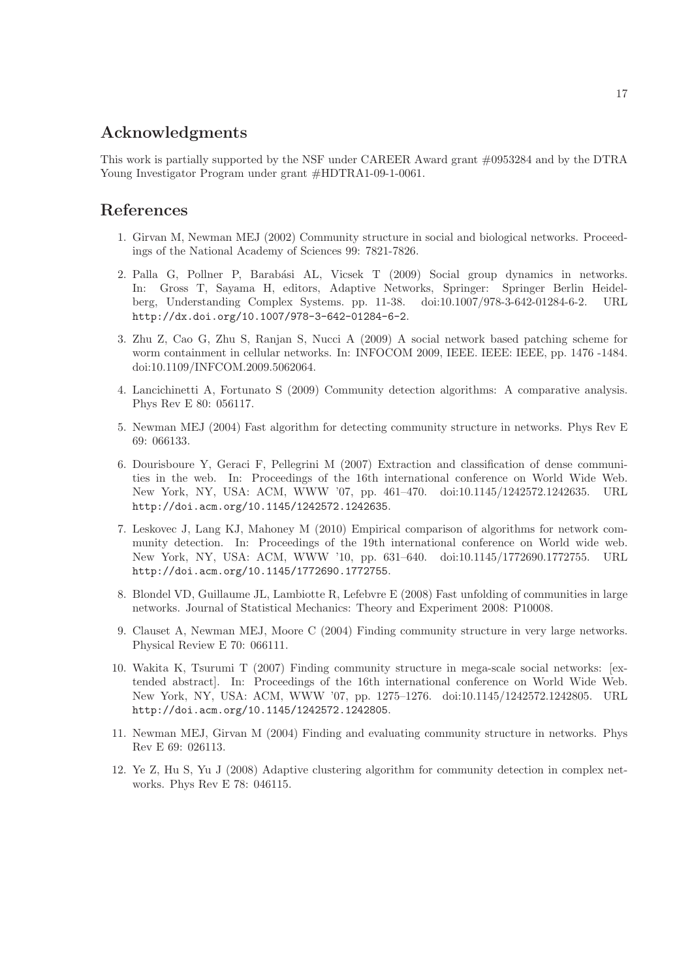## Acknowledgments

This work is partially supported by the NSF under CAREER Award grant #0953284 and by the DTRA Young Investigator Program under grant #HDTRA1-09-1-0061.

### References

- 1. Girvan M, Newman MEJ (2002) Community structure in social and biological networks. Proceedings of the National Academy of Sciences 99: 7821-7826.
- 2. Palla G, Pollner P, Barabási AL, Vicsek T (2009) Social group dynamics in networks. In: Gross T, Sayama H, editors, Adaptive Networks, Springer: Springer Berlin Heidelberg, Understanding Complex Systems. pp. 11-38. doi:10.1007/978-3-642-01284-6-2. URL http://dx.doi.org/10.1007/978-3-642-01284-6-2.
- 3. Zhu Z, Cao G, Zhu S, Ranjan S, Nucci A (2009) A social network based patching scheme for worm containment in cellular networks. In: INFOCOM 2009, IEEE. IEEE: IEEE, pp. 1476 -1484. doi:10.1109/INFCOM.2009.5062064.
- 4. Lancichinetti A, Fortunato S (2009) Community detection algorithms: A comparative analysis. Phys Rev E 80: 056117.
- 5. Newman MEJ (2004) Fast algorithm for detecting community structure in networks. Phys Rev E 69: 066133.
- 6. Dourisboure Y, Geraci F, Pellegrini M (2007) Extraction and classification of dense communities in the web. In: Proceedings of the 16th international conference on World Wide Web. New York, NY, USA: ACM, WWW '07, pp. 461–470. doi:10.1145/1242572.1242635. URL http://doi.acm.org/10.1145/1242572.1242635.
- 7. Leskovec J, Lang KJ, Mahoney M (2010) Empirical comparison of algorithms for network community detection. In: Proceedings of the 19th international conference on World wide web. New York, NY, USA: ACM, WWW '10, pp. 631–640. doi:10.1145/1772690.1772755. URL http://doi.acm.org/10.1145/1772690.1772755.
- 8. Blondel VD, Guillaume JL, Lambiotte R, Lefebvre E (2008) Fast unfolding of communities in large networks. Journal of Statistical Mechanics: Theory and Experiment 2008: P10008.
- 9. Clauset A, Newman MEJ, Moore C (2004) Finding community structure in very large networks. Physical Review E 70: 066111.
- 10. Wakita K, Tsurumi T (2007) Finding community structure in mega-scale social networks: [extended abstract]. In: Proceedings of the 16th international conference on World Wide Web. New York, NY, USA: ACM, WWW '07, pp. 1275–1276. doi:10.1145/1242572.1242805. URL http://doi.acm.org/10.1145/1242572.1242805.
- 11. Newman MEJ, Girvan M (2004) Finding and evaluating community structure in networks. Phys Rev E 69: 026113.
- 12. Ye Z, Hu S, Yu J (2008) Adaptive clustering algorithm for community detection in complex networks. Phys Rev E 78: 046115.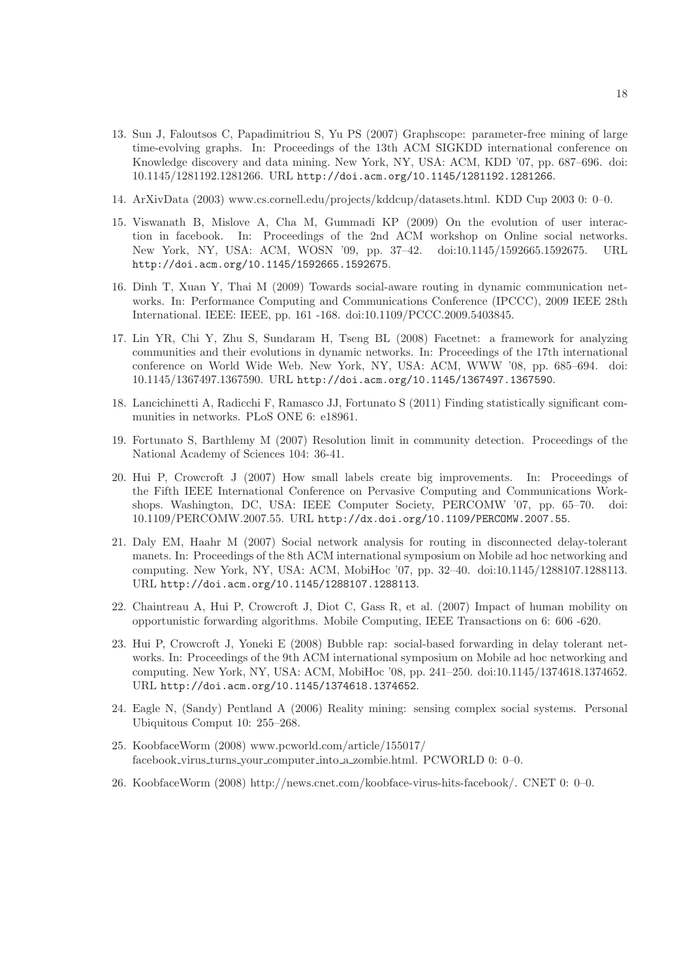- 13. Sun J, Faloutsos C, Papadimitriou S, Yu PS (2007) Graphscope: parameter-free mining of large time-evolving graphs. In: Proceedings of the 13th ACM SIGKDD international conference on Knowledge discovery and data mining. New York, NY, USA: ACM, KDD '07, pp. 687–696. doi: 10.1145/1281192.1281266. URL http://doi.acm.org/10.1145/1281192.1281266.
- 14. ArXivData (2003) www.cs.cornell.edu/projects/kddcup/datasets.html. KDD Cup 2003 0: 0–0.
- 15. Viswanath B, Mislove A, Cha M, Gummadi KP (2009) On the evolution of user interaction in facebook. In: Proceedings of the 2nd ACM workshop on Online social networks. New York, NY, USA: ACM, WOSN '09, pp. 37–42. doi:10.1145/1592665.1592675. URL http://doi.acm.org/10.1145/1592665.1592675.
- 16. Dinh T, Xuan Y, Thai M (2009) Towards social-aware routing in dynamic communication networks. In: Performance Computing and Communications Conference (IPCCC), 2009 IEEE 28th International. IEEE: IEEE, pp. 161 -168. doi:10.1109/PCCC.2009.5403845.
- 17. Lin YR, Chi Y, Zhu S, Sundaram H, Tseng BL (2008) Facetnet: a framework for analyzing communities and their evolutions in dynamic networks. In: Proceedings of the 17th international conference on World Wide Web. New York, NY, USA: ACM, WWW '08, pp. 685–694. doi: 10.1145/1367497.1367590. URL http://doi.acm.org/10.1145/1367497.1367590.
- 18. Lancichinetti A, Radicchi F, Ramasco JJ, Fortunato S (2011) Finding statistically significant communities in networks. PLoS ONE 6: e18961.
- 19. Fortunato S, Barthlemy M (2007) Resolution limit in community detection. Proceedings of the National Academy of Sciences 104: 36-41.
- 20. Hui P, Crowcroft J (2007) How small labels create big improvements. In: Proceedings of the Fifth IEEE International Conference on Pervasive Computing and Communications Workshops. Washington, DC, USA: IEEE Computer Society, PERCOMW '07, pp. 65–70. doi: 10.1109/PERCOMW.2007.55. URL http://dx.doi.org/10.1109/PERCOMW.2007.55.
- 21. Daly EM, Haahr M (2007) Social network analysis for routing in disconnected delay-tolerant manets. In: Proceedings of the 8th ACM international symposium on Mobile ad hoc networking and computing. New York, NY, USA: ACM, MobiHoc '07, pp. 32–40. doi:10.1145/1288107.1288113. URL http://doi.acm.org/10.1145/1288107.1288113.
- 22. Chaintreau A, Hui P, Crowcroft J, Diot C, Gass R, et al. (2007) Impact of human mobility on opportunistic forwarding algorithms. Mobile Computing, IEEE Transactions on 6: 606 -620.
- 23. Hui P, Crowcroft J, Yoneki E (2008) Bubble rap: social-based forwarding in delay tolerant networks. In: Proceedings of the 9th ACM international symposium on Mobile ad hoc networking and computing. New York, NY, USA: ACM, MobiHoc '08, pp. 241–250. doi:10.1145/1374618.1374652. URL http://doi.acm.org/10.1145/1374618.1374652.
- 24. Eagle N, (Sandy) Pentland A (2006) Reality mining: sensing complex social systems. Personal Ubiquitous Comput 10: 255–268.
- 25. KoobfaceWorm (2008) www.pcworld.com/article/155017/ facebook virus turns your computer into a zombie.html. PCWORLD 0: 0–0.
- 26. KoobfaceWorm (2008) http://news.cnet.com/koobface-virus-hits-facebook/. CNET 0: 0–0.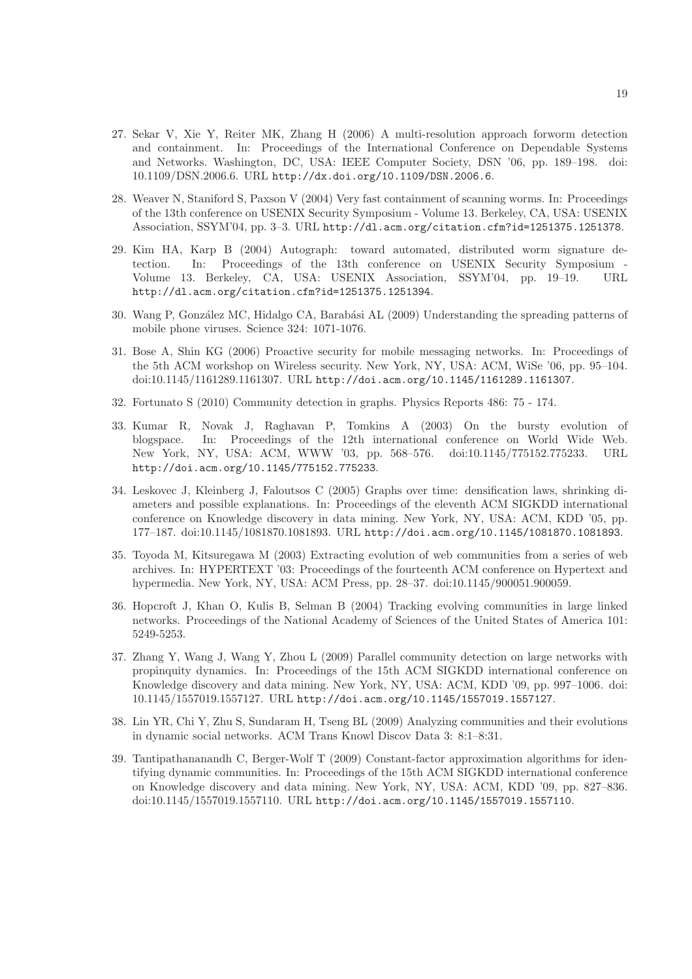- 27. Sekar V, Xie Y, Reiter MK, Zhang H (2006) A multi-resolution approach forworm detection and containment. In: Proceedings of the International Conference on Dependable Systems and Networks. Washington, DC, USA: IEEE Computer Society, DSN '06, pp. 189–198. doi: 10.1109/DSN.2006.6. URL http://dx.doi.org/10.1109/DSN.2006.6.
- 28. Weaver N, Staniford S, Paxson V (2004) Very fast containment of scanning worms. In: Proceedings of the 13th conference on USENIX Security Symposium - Volume 13. Berkeley, CA, USA: USENIX Association, SSYM'04, pp. 3–3. URL http://dl.acm.org/citation.cfm?id=1251375.1251378.
- 29. Kim HA, Karp B (2004) Autograph: toward automated, distributed worm signature detection. In: Proceedings of the 13th conference on USENIX Security Symposium - Volume 13. Berkeley, CA, USA: USENIX Association, SSYM'04, pp. 19–19. URL http://dl.acm.org/citation.cfm?id=1251375.1251394.
- 30. Wang P, González MC, Hidalgo CA, Barabási AL (2009) Understanding the spreading patterns of mobile phone viruses. Science 324: 1071-1076.
- 31. Bose A, Shin KG (2006) Proactive security for mobile messaging networks. In: Proceedings of the 5th ACM workshop on Wireless security. New York, NY, USA: ACM, WiSe '06, pp. 95–104. doi:10.1145/1161289.1161307. URL http://doi.acm.org/10.1145/1161289.1161307.
- 32. Fortunato S (2010) Community detection in graphs. Physics Reports 486: 75 174.
- 33. Kumar R, Novak J, Raghavan P, Tomkins A (2003) On the bursty evolution of blogspace. In: Proceedings of the 12th international conference on World Wide Web. New York, NY, USA: ACM, WWW '03, pp. 568–576. doi:10.1145/775152.775233. URL http://doi.acm.org/10.1145/775152.775233.
- 34. Leskovec J, Kleinberg J, Faloutsos C (2005) Graphs over time: densification laws, shrinking diameters and possible explanations. In: Proceedings of the eleventh ACM SIGKDD international conference on Knowledge discovery in data mining. New York, NY, USA: ACM, KDD '05, pp. 177–187. doi:10.1145/1081870.1081893. URL http://doi.acm.org/10.1145/1081870.1081893.
- 35. Toyoda M, Kitsuregawa M (2003) Extracting evolution of web communities from a series of web archives. In: HYPERTEXT '03: Proceedings of the fourteenth ACM conference on Hypertext and hypermedia. New York, NY, USA: ACM Press, pp. 28–37. doi:10.1145/900051.900059.
- 36. Hopcroft J, Khan O, Kulis B, Selman B (2004) Tracking evolving communities in large linked networks. Proceedings of the National Academy of Sciences of the United States of America 101: 5249-5253.
- 37. Zhang Y, Wang J, Wang Y, Zhou L (2009) Parallel community detection on large networks with propinquity dynamics. In: Proceedings of the 15th ACM SIGKDD international conference on Knowledge discovery and data mining. New York, NY, USA: ACM, KDD '09, pp. 997–1006. doi: 10.1145/1557019.1557127. URL http://doi.acm.org/10.1145/1557019.1557127.
- 38. Lin YR, Chi Y, Zhu S, Sundaram H, Tseng BL (2009) Analyzing communities and their evolutions in dynamic social networks. ACM Trans Knowl Discov Data 3: 8:1–8:31.
- 39. Tantipathananandh C, Berger-Wolf T (2009) Constant-factor approximation algorithms for identifying dynamic communities. In: Proceedings of the 15th ACM SIGKDD international conference on Knowledge discovery and data mining. New York, NY, USA: ACM, KDD '09, pp. 827–836. doi:10.1145/1557019.1557110. URL http://doi.acm.org/10.1145/1557019.1557110.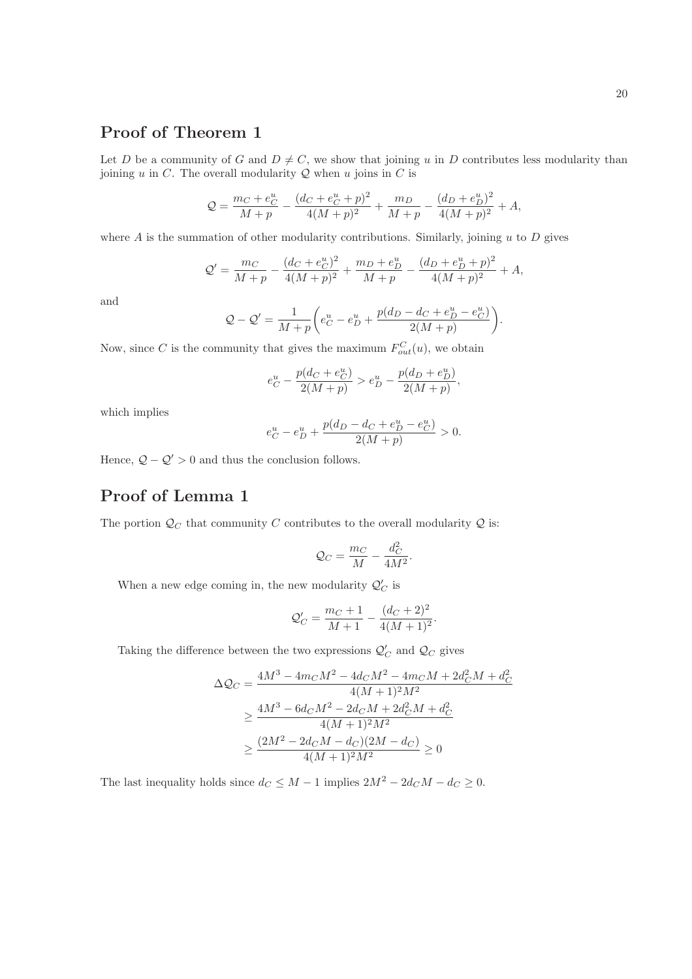# Proof of Theorem 1

Let D be a community of G and  $D \neq C$ , we show that joining u in D contributes less modularity than joining  $u$  in  $C$ . The overall modularity  $Q$  when  $u$  joins in  $C$  is

$$
Q = \frac{m_C + e_C^u}{M + p} - \frac{(d_C + e_C^u + p)^2}{4(M + p)^2} + \frac{m_D}{M + p} - \frac{(d_D + e_D^u)^2}{4(M + p)^2} + A,
$$

where  $A$  is the summation of other modularity contributions. Similarly, joining  $u$  to  $D$  gives

$$
\mathcal{Q}' = \frac{m_C}{M+p} - \frac{(d_C + e_C^u)^2}{4(M+p)^2} + \frac{m_D + e_D^u}{M+p} - \frac{(d_D + e_D^u + p)^2}{4(M+p)^2} + A,
$$

and

$$
Q - Q' = \frac{1}{M + p} \left( e_C^u - e_D^u + \frac{p(d_D - d_C + e_D^u - e_C^u)}{2(M + p)} \right).
$$

Now, since C is the community that gives the maximum  $F_{out}^{C}(u)$ , we obtain

$$
e_C^u - \frac{p(d_C + e_C^u)}{2(M + p)} > e_D^u - \frac{p(d_D + e_D^u)}{2(M + p)},
$$

which implies

$$
e_C^u - e_D^u + \frac{p(d_D - d_C + e_D^u - e_C^u)}{2(M + p)} > 0.
$$

Hence,  $Q - Q' > 0$  and thus the conclusion follows.

# Proof of Lemma 1

The portion  $\mathcal{Q}_C$  that community C contributes to the overall modularity Q is:

$$
\mathcal{Q}_C = \frac{m_C}{M} - \frac{d_C^2}{4M^2}.
$$

When a new edge coming in, the new modularity  $\mathcal{Q}'_C$  is

$$
\mathcal{Q}'_C = \frac{m_C + 1}{M + 1} - \frac{(d_C + 2)^2}{4(M + 1)^2}.
$$

Taking the difference between the two expressions  $\mathcal{Q}'_C$  and  $\mathcal{Q}_C$  gives

$$
\Delta Q_C = \frac{4M^3 - 4m_C M^2 - 4d_C M^2 - 4m_C M + 2d_C^2 M + d_C^2}{4(M+1)^2 M^2}
$$
  
\n
$$
\geq \frac{4M^3 - 6d_C M^2 - 2d_C M + 2d_C^2 M + d_C^2}{4(M+1)^2 M^2}
$$
  
\n
$$
\geq \frac{(2M^2 - 2d_C M - d_C)(2M - d_C)}{4(M+1)^2 M^2} \geq 0
$$

The last inequality holds since  $d_C \leq M - 1$  implies  $2M^2 - 2d_C M - d_C \geq 0$ .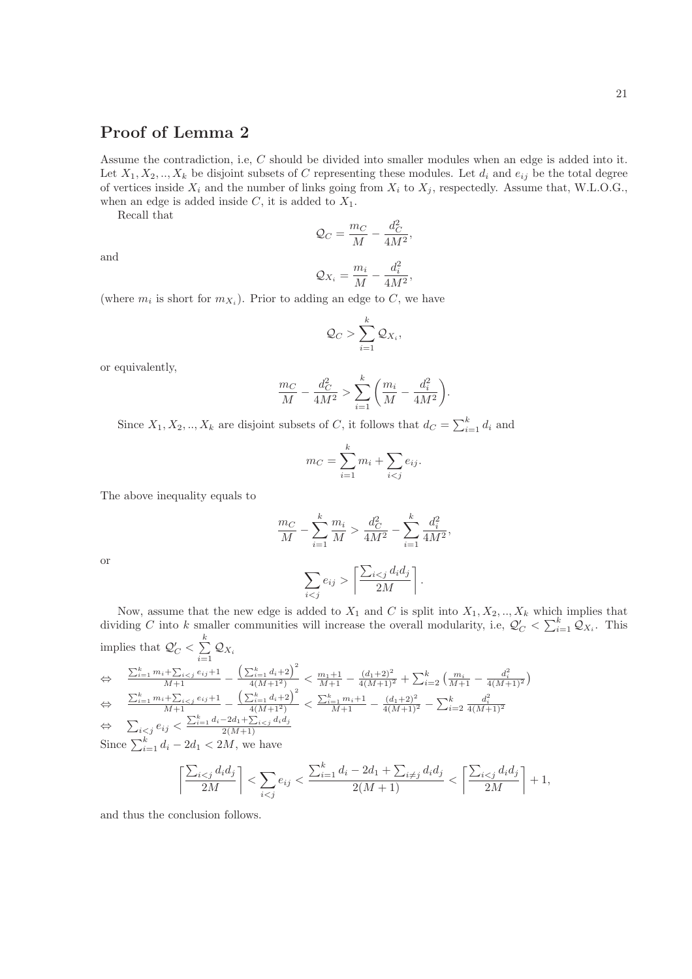## Proof of Lemma 2

Assume the contradiction, i.e, C should be divided into smaller modules when an edge is added into it. Let  $X_1, X_2, ..., X_k$  be disjoint subsets of C representing these modules. Let  $d_i$  and  $e_{ij}$  be the total degree of vertices inside  $X_i$  and the number of links going from  $X_i$  to  $X_j$ , respectedly. Assume that, W.L.O.G., when an edge is added inside C, it is added to  $X_1$ .

Recall that

 $Q_C = \frac{m_C}{M}$  $\frac{m_C}{M} - \frac{d_C^2}{4M}$  $rac{C}{4M^2}$ 

$$
\mathcal{Q}_{X_i} = \frac{m_i}{M} - \frac{d_i^2}{4M^2},
$$

(where  $m_i$  is short for  $m_{X_i}$ ). Prior to adding an edge to C, we have

$$
\mathcal{Q}_C > \sum_{i=1}^k \mathcal{Q}_{X_i},
$$

or equivalently,

$$
\frac{m_C}{M} - \frac{d_C^2}{4M^2} > \sum_{i=1}^k \left( \frac{m_i}{M} - \frac{d_i^2}{4M^2} \right).
$$

Since  $X_1, X_2, ..., X_k$  are disjoint subsets of C, it follows that  $d_C = \sum_{i=1}^k d_i$  and

$$
m_C = \sum_{i=1}^{k} m_i + \sum_{i < j} e_{ij}.
$$

The above inequality equals to

$$
\frac{m_C}{M} - \sum_{i=1}^{k} \frac{m_i}{M} > \frac{d_C^2}{4M^2} - \sum_{i=1}^{k} \frac{d_i^2}{4M^2}
$$
\n
$$
\sum e_{ij} > \left[ \frac{\sum_{i < j} d_i d_j}{2M} \right].
$$

,

or

$$
\sum_{i < j} e_{ij} > \left\lceil \frac{\sum_{i < j} d_i d_j}{2M} \right\rceil.
$$

Now, assume that the new edge is added to  $X_1$  and C is split into  $X_1, X_2, ..., X_k$  which implies that dividing C into k smaller communities will increase the overall modularity, i.e,  $\mathcal{Q}'_C < \sum_{i=1}^k \mathcal{Q}_{X_i}$ . This implies that  $\mathcal{Q}'_C < \sum^k$  $\sum_{i=1}$   $\mathcal{Q}_{X_i}$ 

$$
\Leftrightarrow \frac{\sum_{i=1}^{k} m_i + \sum_{i < j} e_{ij} + 1}{M+1} - \frac{\left(\sum_{i=1}^{k} d_i + 2\right)^2}{4(M+1^2)} < \frac{m_1 + 1}{M+1} - \frac{(d_1 + 2)^2}{4(M+1)^2} + \sum_{i=2}^{k} \left(\frac{m_i}{M+1} - \frac{d_i^2}{4(M+1)^2}\right)
$$
\n
$$
\Leftrightarrow \frac{\sum_{i=1}^{k} m_i + \sum_{i < j} e_{ij} + 1}{M+1} - \frac{\left(\sum_{i=1}^{k} d_i + 2\right)^2}{4(M+1^2)} < \frac{\sum_{i=1}^{k} m_i + 1}{M+1} - \frac{(d_1 + 2)^2}{4(M+1)^2} - \sum_{i=2}^{k} \frac{d_i^2}{4(M+1)^2}
$$

$$
\Leftrightarrow \quad \sum_{\substack{i < j}} e_{ij} < \frac{\sum_{i=1}^k d_i - 2d_1 + \sum_{i < j} d_i d_j}{2(M+1)}
$$

Since  $\sum_{i=1}^{k} d_i - 2d_1 < 2M$ , we have

$$
\left\lceil \frac{\sum_{i < j} d_i d_j}{2M} \right\rceil < \sum_{i < j} e_{ij} < \frac{\sum_{i=1}^k d_i - 2d_1 + \sum_{i \neq j} d_i d_j}{2(M+1)} < \left\lceil \frac{\sum_{i < j} d_i d_j}{2M} \right\rceil + 1,
$$

and thus the conclusion follows.

and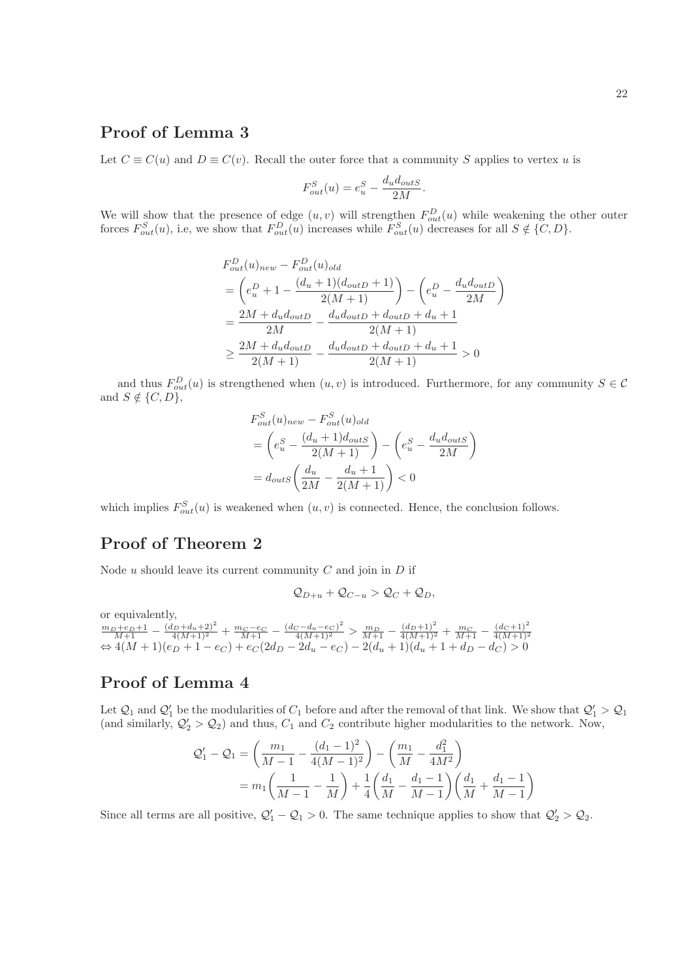### Proof of Lemma 3

Let  $C \equiv C(u)$  and  $D \equiv C(v)$ . Recall the outer force that a community S applies to vertex u is

$$
F_{out}^{S}(u) = e_u^S - \frac{d_u d_{outS}}{2M}
$$

.

We will show that the presence of edge  $(u, v)$  will strengthen  $F_{out}^D(u)$  while weakening the other outer forces  $F_{out}^S(u)$ , i.e, we show that  $F_{out}^D(u)$  increases while  $F_{out}^S(u)$  decreases for all  $S \notin \{C, D\}$ .

$$
F_{out}^{D}(u)_{new} - F_{out}^{D}(u)_{old}
$$
  
=  $\left(e_{u}^{D} + 1 - \frac{(d_{u} + 1)(d_{outD} + 1)}{2(M + 1)}\right) - \left(e_{u}^{D} - \frac{d_{u}d_{outD}}{2M}\right)$   
=  $\frac{2M + d_{u}d_{outD}}{2M} - \frac{d_{u}d_{outD} + d_{outD} + d_{u} + 1}{2(M + 1)}$   
 $\geq \frac{2M + d_{u}d_{outD}}{2(M + 1)} - \frac{d_{u}d_{outD} + d_{outD} + d_{u} + 1}{2(M + 1)} > 0$ 

and thus  $F_{out}^D(u)$  is strengthened when  $(u, v)$  is introduced. Furthermore, for any community  $S \in \mathcal{C}$ and  $S \notin \{C, D\},\$ 

$$
F_{out}^{S}(u)_{new} - F_{out}^{S}(u)_{old}
$$
  
=  $\left(e_u^S - \frac{(d_u + 1)d_{outS}}{2(M+1)}\right) - \left(e_u^S - \frac{d_u d_{outS}}{2M}\right)$   
=  $d_{outS}\left(\frac{d_u}{2M} - \frac{d_u + 1}{2(M+1)}\right) < 0$ 

which implies  $F_{out}^S(u)$  is weakened when  $(u, v)$  is connected. Hence, the conclusion follows.

## Proof of Theorem 2

Node  $u$  should leave its current community  $C$  and join in  $D$  if

$$
Q_{D+u} + Q_{C-u} > Q_C + Q_D,
$$

or equivalently,  $\frac{m_D+e_D+1}{M+1} - \frac{(d_D+d_u+2)^2}{4(M+1)^2} + \frac{m_C-e_C}{M+1} - \frac{(d_C-d_u-e_C)^2}{4(M+1)^2} > \frac{m_D}{M+1} - \frac{(d_D+1)^2}{4(M+1)^2} + \frac{m_C}{M+1} - \frac{(d_C+1)^2}{4(M+1)^2}$  $\Leftrightarrow 4(M+1)(e_D+1-e_C)+e_C(2d_D-2d_u-e_C)-2(d_u+1)(d_u+1+d_D-d_C)>0$ 

# Proof of Lemma 4

Let  $Q_1$  and  $Q'_1$  be the modularities of  $C_1$  before and after the removal of that link. We show that  $Q'_1 > Q_1$ (and similarly,  $\mathcal{Q}'_2 > \mathcal{Q}_2$ ) and thus,  $C_1$  and  $C_2$  contribute higher modularities to the network. Now,

$$
\mathcal{Q}'_1 - \mathcal{Q}_1 = \left(\frac{m_1}{M-1} - \frac{(d_1 - 1)^2}{4(M-1)^2}\right) - \left(\frac{m_1}{M} - \frac{d_1^2}{4M^2}\right)
$$

$$
= m_1 \left(\frac{1}{M-1} - \frac{1}{M}\right) + \frac{1}{4} \left(\frac{d_1}{M} - \frac{d_1 - 1}{M-1}\right) \left(\frac{d_1}{M} + \frac{d_1 - 1}{M-1}\right)
$$

Since all terms are all positive,  $Q'_1 - Q_1 > 0$ . The same technique applies to show that  $Q'_2 > Q_2$ .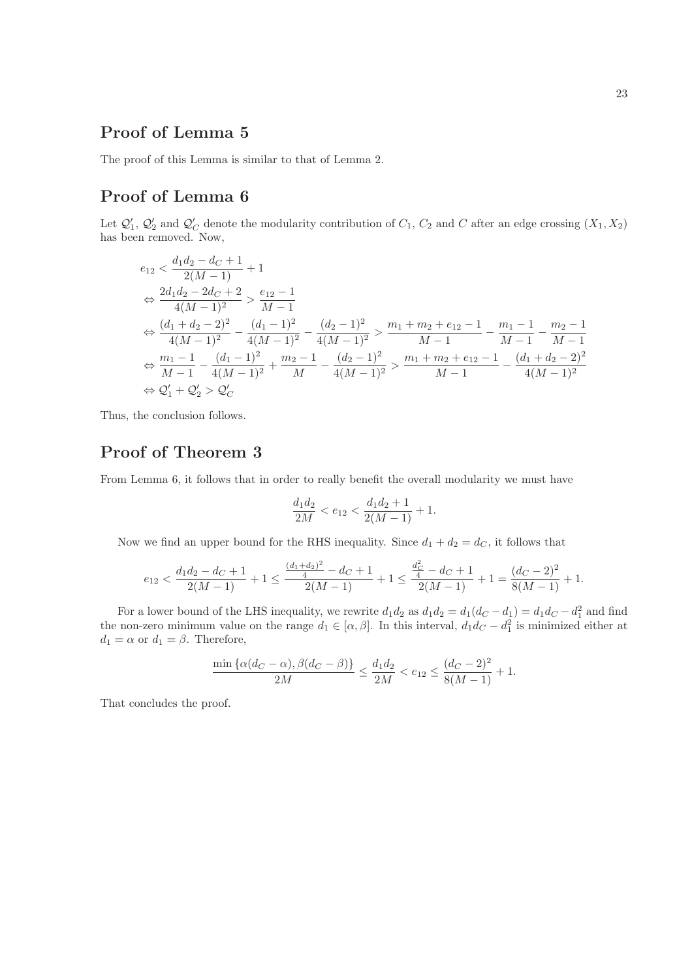# Proof of Lemma 5

The proof of this Lemma is similar to that of Lemma 2.

# Proof of Lemma 6

Let  $\mathcal{Q}'_1$ ,  $\mathcal{Q}'_2$  and  $\mathcal{Q}'_C$  denote the modularity contribution of  $C_1$ ,  $C_2$  and  $C$  after an edge crossing  $(X_1, X_2)$ has been removed. Now,

$$
e_{12} < \frac{d_1 d_2 - d_C + 1}{2(M - 1)} + 1
$$
  
\n
$$
\Leftrightarrow \frac{2d_1 d_2 - 2d_C + 2}{4(M - 1)^2} > \frac{e_{12} - 1}{M - 1}
$$
  
\n
$$
\Leftrightarrow \frac{(d_1 + d_2 - 2)^2}{4(M - 1)^2} - \frac{(d_1 - 1)^2}{4(M - 1)^2} - \frac{(d_2 - 1)^2}{4(M - 1)^2} > \frac{m_1 + m_2 + e_{12} - 1}{M - 1} - \frac{m_1 - 1}{M - 1} - \frac{m_2 - 1}{M - 1}
$$
  
\n
$$
\Leftrightarrow \frac{m_1 - 1}{M - 1} - \frac{(d_1 - 1)^2}{4(M - 1)^2} + \frac{m_2 - 1}{M} - \frac{(d_2 - 1)^2}{4(M - 1)^2} > \frac{m_1 + m_2 + e_{12} - 1}{M - 1} - \frac{(d_1 + d_2 - 2)^2}{4(M - 1)^2}
$$
  
\n
$$
\Leftrightarrow \mathcal{Q}'_1 + \mathcal{Q}'_2 > \mathcal{Q}'_C
$$

Thus, the conclusion follows.

# Proof of Theorem 3

From Lemma 6, it follows that in order to really benefit the overall modularity we must have

$$
\frac{d_1 d_2}{2M} < e_{12} < \frac{d_1 d_2 + 1}{2(M - 1)} + 1.
$$

Now we find an upper bound for the RHS inequality. Since  $d_1 + d_2 = d_C$ , it follows that

$$
e_{12}<\frac{d_1d_2-d_C+1}{2(M-1)}+1\le\frac{\frac{(d_1+d_2)^2}{4}-d_C+1}{2(M-1)}+1\le\frac{\frac{d_C^2}{4}-d_C+1}{2(M-1)}+1=\frac{(d_C-2)^2}{8(M-1)}+1.
$$

For a lower bound of the LHS inequality, we rewrite  $d_1 d_2$  as  $d_1 d_2 = d_1(d_C - d_1) = d_1 d_C - d_1^2$  and find the non-zero minimum value on the range  $d_1 \in [\alpha, \beta]$ . In this interval,  $d_1 d_C - d_1^2$  is minimized either at  $d_1 = \alpha$  or  $d_1 = \beta$ . Therefore,

$$
\frac{\min\{\alpha(d_C-\alpha),\beta(d_C-\beta)\}}{2M} \le \frac{d_1d_2}{2M} < e_{12} \le \frac{(d_C-2)^2}{8(M-1)} + 1.
$$

That concludes the proof.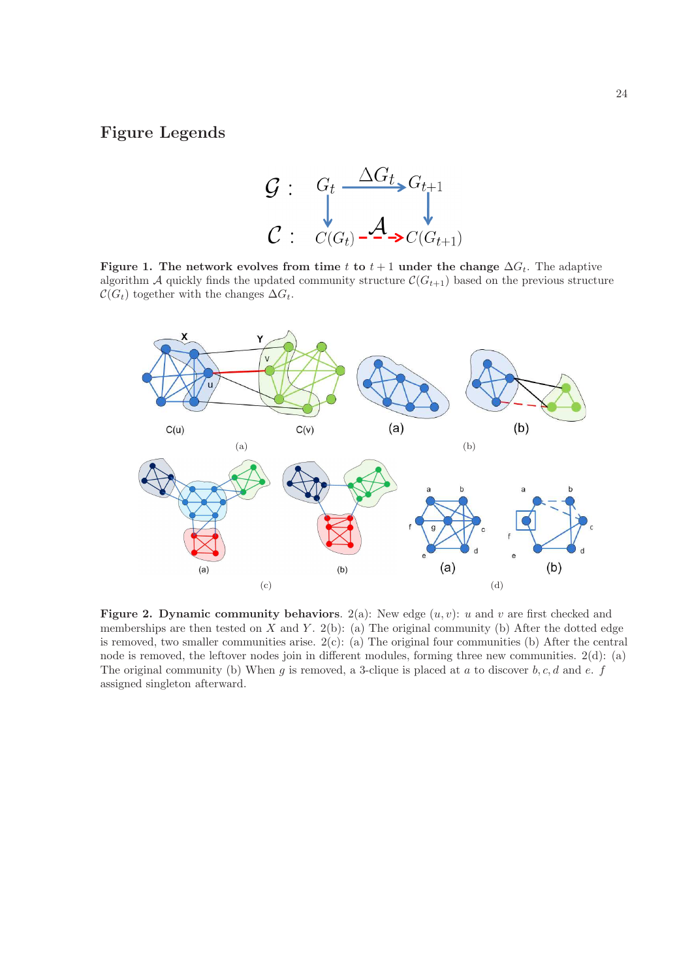### Figure Legends



Figure 1. The network evolves from time t to  $t + 1$  under the change  $\Delta G_t$ . The adaptive algorithm A quickly finds the updated community structure  $\mathcal{C}(G_{t+1})$  based on the previous structure  $\mathcal{C}(G_t)$  together with the changes  $\Delta G_t$ .



Figure 2. Dynamic community behaviors. 2(a): New edge  $(u, v)$ : u and v are first checked and memberships are then tested on  $X$  and  $Y$ . 2(b): (a) The original community (b) After the dotted edge is removed, two smaller communities arise.  $2(c)$ : (a) The original four communities (b) After the central node is removed, the leftover nodes join in different modules, forming three new communities. 2(d): (a) The original community (b) When g is removed, a 3-clique is placed at a to discover  $b, c, d$  and  $e. f$ assigned singleton afterward.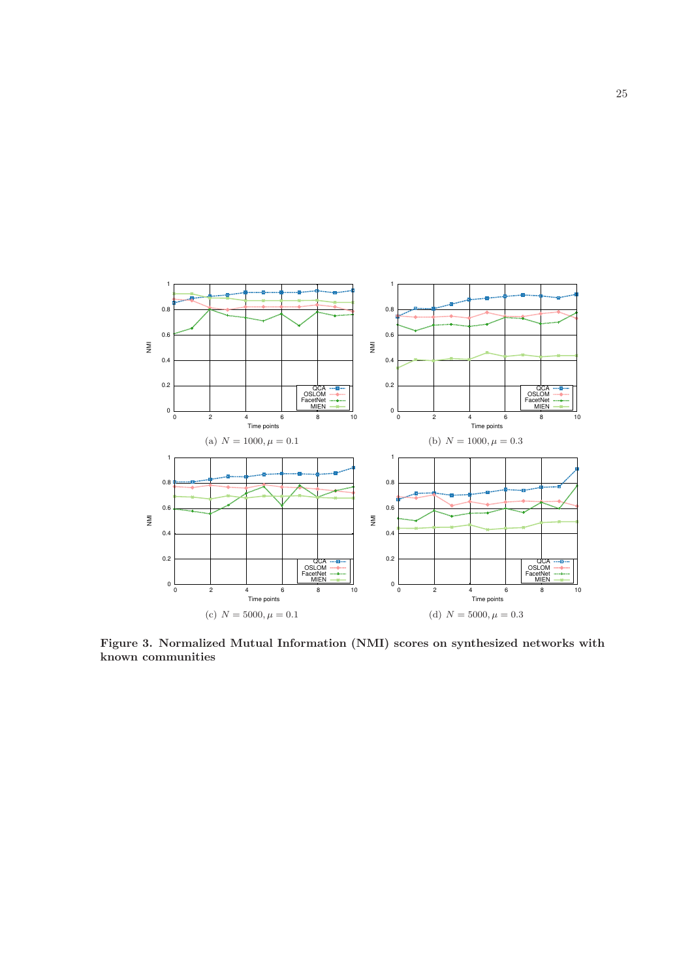

Figure 3. Normalized Mutual Information (NMI) scores on synthesized networks with known communities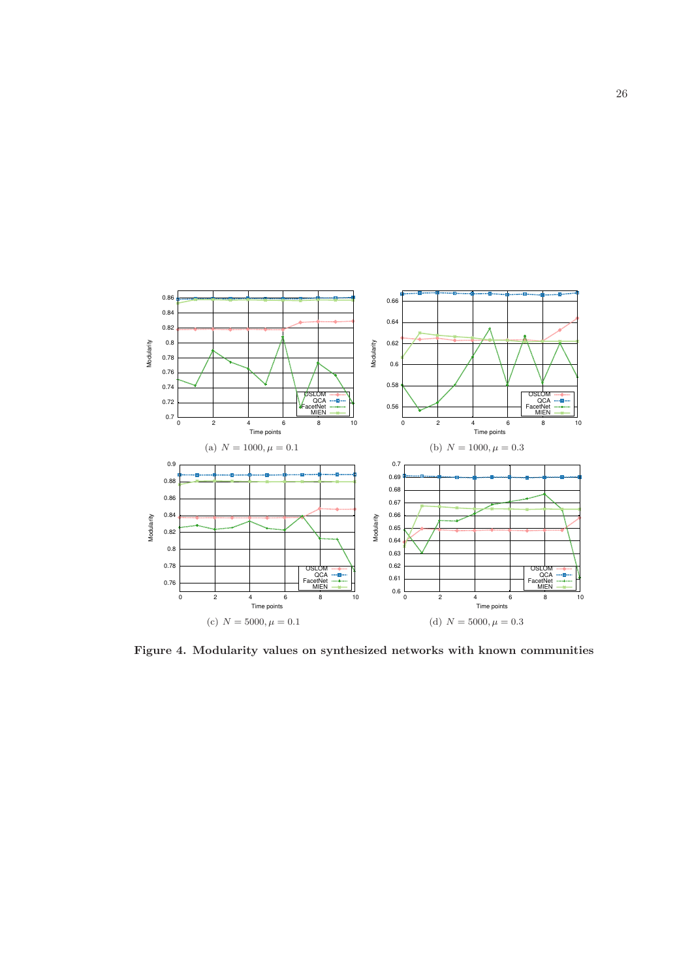

Figure 4. Modularity values on synthesized networks with known communities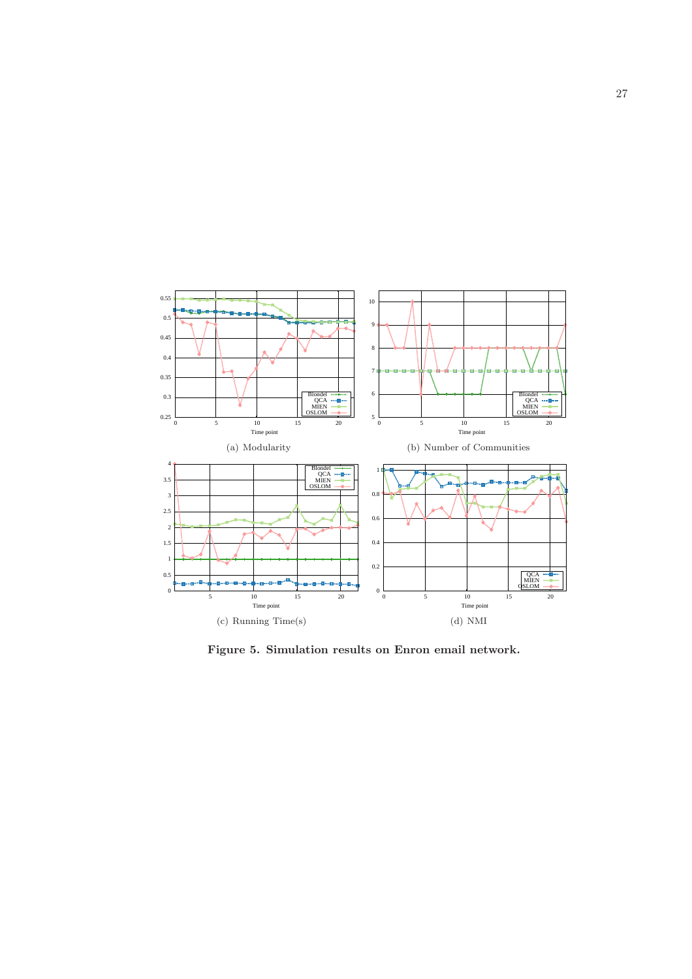

Figure 5. Simulation results on Enron email network.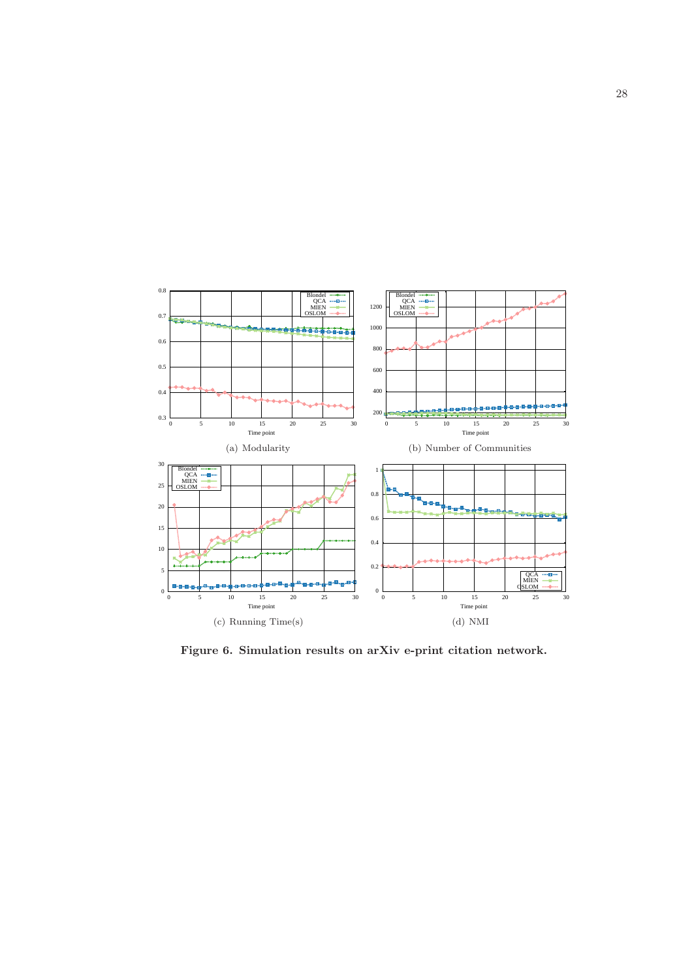

Figure 6. Simulation results on arXiv e-print citation network.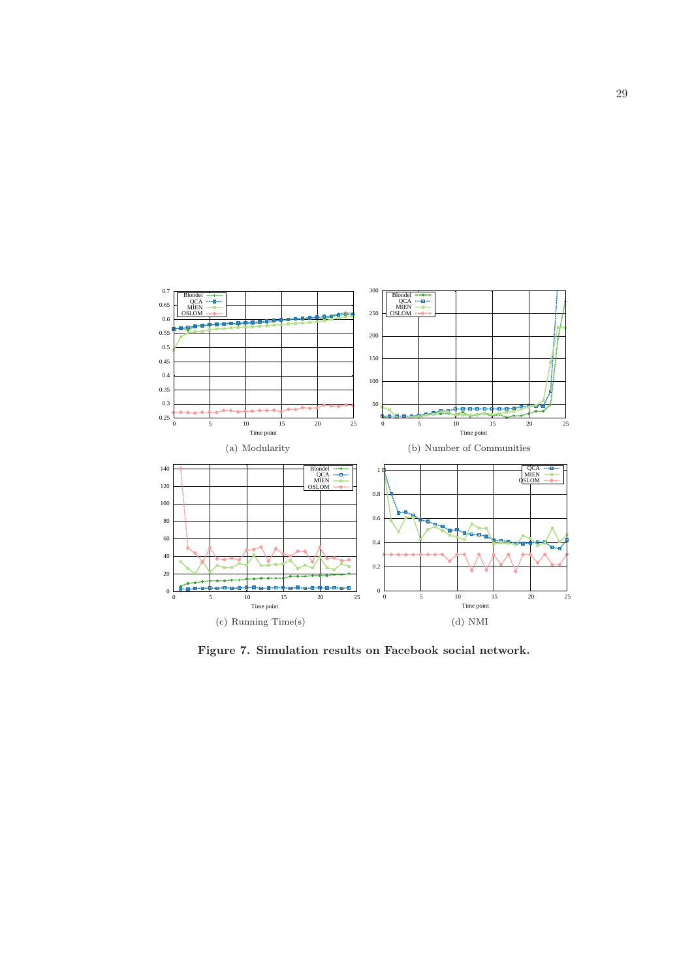

Figure 7. Simulation results on Facebook social network.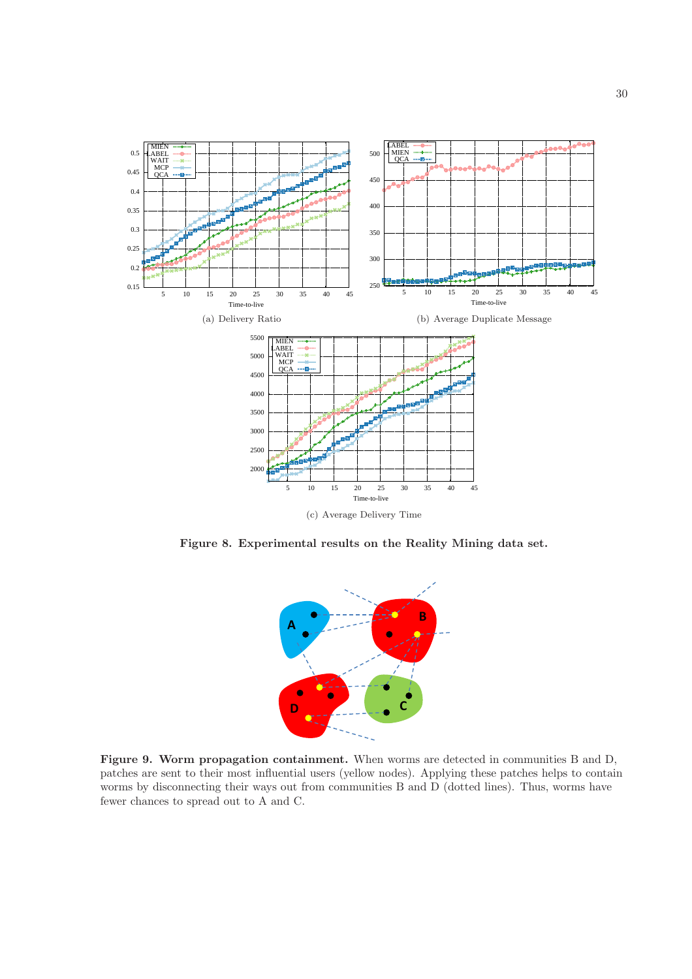

Figure 8. Experimental results on the Reality Mining data set.



Figure 9. Worm propagation containment. When worms are detected in communities B and D, patches are sent to their most influential users (yellow nodes). Applying these patches helps to contain worms by disconnecting their ways out from communities B and D (dotted lines). Thus, worms have fewer chances to spread out to A and C.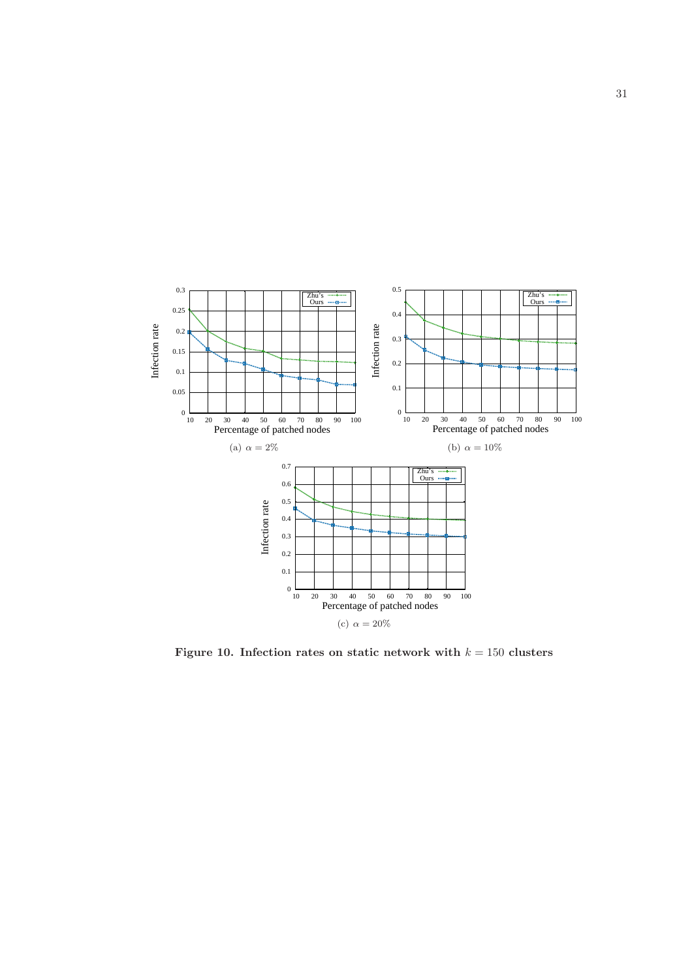

Figure 10. Infection rates on static network with  $k = 150$  clusters